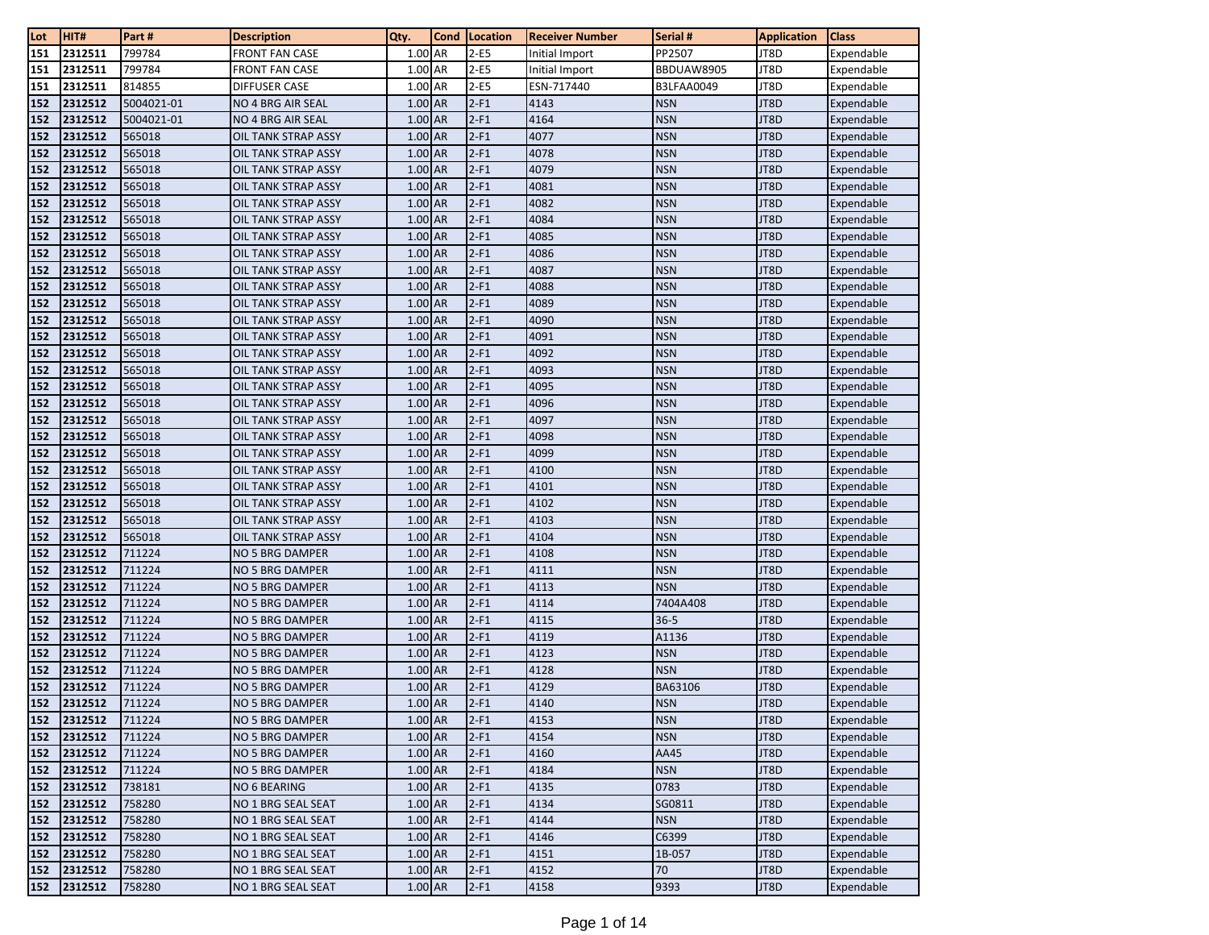| Lot        | HIT#               | Part #           | <b>Description</b>                        | Qty.                 | Cond | Location         | <b>Receiver Number</b> | Serial #                 | <b>Application</b> | <b>Class</b>             |
|------------|--------------------|------------------|-------------------------------------------|----------------------|------|------------------|------------------------|--------------------------|--------------------|--------------------------|
| 151        | 2312511            | 799784           | <b>FRONT FAN CASE</b>                     | 1.00 AR              |      | $2-E5$           | Initial Import         | PP2507                   | JT8D               | Expendable               |
| 151        | 2312511            | 799784           | <b>FRONT FAN CASE</b>                     | 1.00 AR              |      | $2-E5$           | Initial Import         | BBDUAW8905               | JT8D               | Expendable               |
| 151        | 2312511            | 814855           | <b>DIFFUSER CASE</b>                      | 1.00 AR              |      | $2-E5$           | ESN-717440             | B3LFAA0049               | JT8D               | Expendable               |
| 152        | 2312512            | 5004021-01       | NO 4 BRG AIR SEAL                         | 1.00 AR              |      | $2-F1$           | 4143                   | <b>NSN</b>               | JT8D               | Expendable               |
| 152        | 2312512            | 5004021-01       | <b>NO 4 BRG AIR SEAL</b>                  | 1.00 AR              |      | $2-F1$           | 4164                   | <b>NSN</b>               | JT8D               | Expendable               |
| 152        | 2312512            | 565018           | OIL TANK STRAP ASSY                       | 1.00 AR              |      | $2-F1$           | 4077                   | <b>NSN</b>               | JT8D               | Expendable               |
| 152        | 2312512            | 565018           | OIL TANK STRAP ASSY                       | 1.00 AR              |      | $2-F1$           | 4078                   | <b>NSN</b>               | JT8D               | Expendable               |
| 152        | 2312512            | 565018           | OIL TANK STRAP ASSY                       | 1.00 AR              |      | $2-F1$           | 4079                   | <b>NSN</b>               | JT8D               | Expendable               |
| 152        | 2312512            | 565018           | OIL TANK STRAP ASSY                       | 1.00 AR              |      | $2-F1$           | 4081                   | <b>NSN</b>               | JT8D               | Expendable               |
| 152        | 2312512            | 565018           | OIL TANK STRAP ASSY                       | 1.00 AR              |      | $2-F1$           | 4082                   | <b>NSN</b>               | JT8D               | Expendable               |
| 152        | 2312512            | 565018           | OIL TANK STRAP ASSY                       | 1.00 AR              |      | $2-F1$           | 4084                   | <b>NSN</b>               | JT8D               | Expendable               |
| 152        | 2312512            | 565018           | OIL TANK STRAP ASSY                       | 1.00 AR              |      | $2-F1$           | 4085                   | <b>NSN</b>               | JT8D               | Expendable               |
| 152        | 2312512            | 565018           | OIL TANK STRAP ASSY                       | 1.00 AR              |      | $2-F1$           | 4086                   | <b>NSN</b>               | JT8D               | Expendable               |
| 152        | 2312512            | 565018           | OIL TANK STRAP ASSY                       | 1.00 AR              |      | $2-F1$           | 4087                   | <b>NSN</b>               | JT8D               | Expendable               |
| 152        | 2312512            | 565018           | OIL TANK STRAP ASSY                       | 1.00 AR              |      | $2-F1$           | 4088                   | <b>NSN</b>               | JT8D               | Expendable               |
| 152        | 2312512            | 565018           | OIL TANK STRAP ASSY                       | 1.00 AR              |      | $2-F1$           | 4089                   | <b>NSN</b>               | JT8D               | Expendable               |
| 152        | 2312512            | 565018           | OIL TANK STRAP ASSY                       | 1.00 AR              |      | $2-F1$           | 4090                   | <b>NSN</b>               | JT8D               | Expendable               |
| 152        | 2312512            | 565018           | OIL TANK STRAP ASSY                       | 1.00 AR              |      | $2-F1$           | 4091                   | <b>NSN</b>               | JT8D               | Expendable               |
| 152        | 2312512            | 565018           | OIL TANK STRAP ASSY                       | 1.00 AR              |      | $2-F1$           | 4092                   | <b>NSN</b>               | JT8D               | Expendable               |
| 152        | 2312512            | 565018           | OIL TANK STRAP ASSY                       | 1.00 AR              |      | $2-F1$           | 4093                   | <b>NSN</b>               | JT8D               | Expendable               |
| 152        | 2312512            | 565018           | OIL TANK STRAP ASSY                       | 1.00 AR              |      | $2-F1$           | 4095                   | <b>NSN</b>               | JT8D               | Expendable               |
| 152        | 2312512            | 565018           | OIL TANK STRAP ASSY                       | 1.00 AR              |      | $2-F1$           | 4096                   | <b>NSN</b>               | JT8D               | Expendable               |
| 152        | 2312512            | 565018           | OIL TANK STRAP ASSY                       | 1.00 AR              |      | $2-F1$           | 4097                   | <b>NSN</b>               | JT8D               | Expendable               |
| 152        | 2312512            | 565018           | OIL TANK STRAP ASSY                       | 1.00 AR              |      | $2-F1$           | 4098                   | <b>NSN</b>               | JT8D               | Expendable               |
| 152        | 2312512            | 565018           | OIL TANK STRAP ASSY                       | 1.00 AR              |      | $2-F1$           | 4099                   | <b>NSN</b>               | JT8D               | Expendable               |
| 152        | 2312512            | 565018           | OIL TANK STRAP ASSY                       | 1.00 AR              |      | $2-F1$           | 4100                   | <b>NSN</b>               | JT8D               | Expendable               |
| 152        | 2312512            | 565018           | OIL TANK STRAP ASSY                       | 1.00 AR              |      | $2-F1$           | 4101                   | <b>NSN</b>               | JT8D               | Expendable               |
| 152        | 2312512            | 565018           | OIL TANK STRAP ASSY                       | 1.00 AR              |      | $2-F1$           | 4102                   | <b>NSN</b>               | JT8D               | Expendable               |
| 152        | 2312512            | 565018           | OIL TANK STRAP ASSY                       | 1.00 AR              |      | $2-F1$           | 4103                   | <b>NSN</b>               | JT8D               | Expendable               |
| 152        | 2312512            | 565018           | OIL TANK STRAP ASSY                       | 1.00 AR              |      | $2-F1$           | 4104                   | <b>NSN</b>               | JT8D               | Expendable               |
| 152        | 2312512            | 711224           | NO 5 BRG DAMPER                           | 1.00 AR              |      | $2-F1$           | 4108                   | <b>NSN</b>               | JT8D               | Expendable               |
| 152        | 2312512            | 711224           | NO 5 BRG DAMPER                           | 1.00 AR              |      | $2-F1$           | 4111                   | <b>NSN</b>               | JT8D               | Expendable               |
| 152        | 2312512            | 711224           | NO 5 BRG DAMPER                           | 1.00 AR              |      | $2-F1$           | 4113                   | <b>NSN</b>               | JT8D               | Expendable               |
| 152        | 2312512            | 711224           | NO 5 BRG DAMPER                           | $1.00$ AR            |      | $2-F1$           | 4114                   | 7404A408                 | JT8D               | Expendable               |
| 152        | 2312512            | 711224           | <b>NO 5 BRG DAMPER</b>                    | 1.00 AR              |      | $2-F1$           | 4115                   | $36 - 5$                 | JT8D               | Expendable               |
| 152        | 2312512            | 711224           | NO 5 BRG DAMPER                           | 1.00 AR              |      | $2-F1$           | 4119                   | A1136                    | JT8D               | Expendable               |
| 152        | 2312512            | 711224           | NO 5 BRG DAMPER                           | 1.00 AR              |      | $2-F1$           | 4123                   | <b>NSN</b>               | JT8D               | Expendable               |
| 152        | 2312512            | 711224           | NO 5 BRG DAMPER                           | 1.00 AR              |      | $2-F1$           | 4128                   | <b>NSN</b>               | JT8D               | Expendable               |
| 152        | 2312512            | 711224           | <b>NO 5 BRG DAMPER</b>                    | 1.00 AR<br>1.00 AR   |      | $2-F1$           | 4129                   | BA63106                  | JT8D               | Expendable               |
| 152        | 2312512            | 711224           | NO 5 BRG DAMPER                           |                      |      | $2-F1$           | 4140                   | <b>NSN</b>               | JT8D               | Expendable               |
| 152        | 2312512<br>2312512 | 711224<br>711224 | NO 5 BRG DAMPER<br>NO 5 BRG DAMPER        | 1.00 AR<br>1.00 AR   |      | $2-F1$<br>$2-F1$ | 4153<br>4154           | <b>NSN</b><br><b>NSN</b> | JT8D<br>JT8D       | Expendable               |
| 152        | 2312512            | 711224           |                                           | 1.00 AR              |      | $2-F1$           | 4160                   | AA45                     | JT8D               | Expendable               |
| 152        |                    |                  | NO 5 BRG DAMPER<br><b>NO 5 BRG DAMPER</b> |                      |      |                  |                        |                          |                    | Expendable               |
| 152        | 2312512            | 711224           |                                           | 1.00 AR<br>$1.00$ AR |      | $2-F1$           | 4184<br>4135           | <b>NSN</b>               | JT8D<br>JT8D       | Expendable               |
| 152        | 2312512            | 738181           | NO 6 BEARING                              |                      |      | $2-F1$           |                        | 0783                     |                    | Expendable               |
| 152        | 2312512<br>2312512 | 758280<br>758280 | NO 1 BRG SEAL SEAT<br>NO 1 BRG SEAL SEAT  | 1.00 AR<br>1.00 AR   |      | $2-F1$<br>$2-F1$ | 4134<br>4144           | SG0811<br><b>NSN</b>     | JT8D<br>JT8D       | Expendable<br>Expendable |
| 152<br>152 | 2312512            | 758280           | NO 1 BRG SEAL SEAT                        | 1.00 AR              |      | $2-F1$           | 4146                   | C6399                    | JT8D               | Expendable               |
| 152        | 2312512            | 758280           | NO 1 BRG SEAL SEAT                        | 1.00 AR              |      | $2-F1$           | 4151                   | 1B-057                   | JT8D               | Expendable               |
| 152        | 2312512            | 758280           | NO 1 BRG SEAL SEAT                        | 1.00 AR              |      | $2-F1$           | 4152                   | 70                       | JT8D               | Expendable               |
| 152        | 2312512            | 758280           | NO 1 BRG SEAL SEAT                        | $1.00$ AR            |      | $2-F1$           | 4158                   | 9393                     | JT8D               | Expendable               |
|            |                    |                  |                                           |                      |      |                  |                        |                          |                    |                          |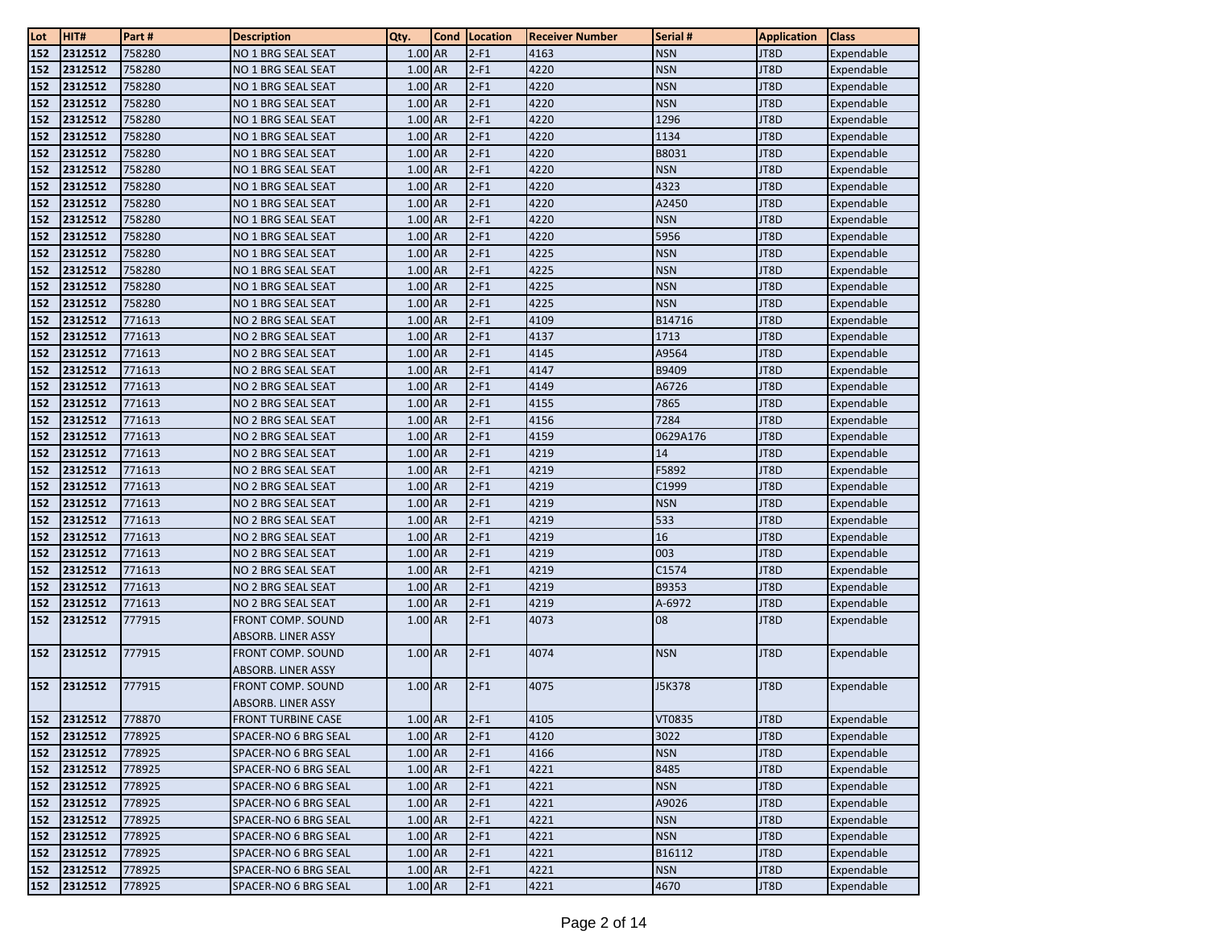| Lot | HIT#    | Part#  | <b>Description</b>        | Qty.      | Cond | Location | <b>Receiver Number</b> | Serial #   | <b>Application</b> | Class      |
|-----|---------|--------|---------------------------|-----------|------|----------|------------------------|------------|--------------------|------------|
| 152 | 2312512 | 758280 | NO 1 BRG SEAL SEAT        | $1.00$ AR |      | $2-F1$   | 4163                   | <b>NSN</b> | JT8D               | Expendable |
| 152 | 2312512 | 758280 | <b>NO 1 BRG SEAL SEAT</b> | 1.00 AR   |      | $2-F1$   | 4220                   | <b>NSN</b> | JT8D               | Expendable |
| 152 | 2312512 | 758280 | NO 1 BRG SEAL SEAT        | $1.00$ AR |      | $2-F1$   | 4220                   | <b>NSN</b> | JT8D               | Expendable |
| 152 | 2312512 | 758280 | NO 1 BRG SEAL SEAT        | 1.00 AR   |      | $2-F1$   | 4220                   | <b>NSN</b> | JT8D               | Expendable |
| 152 | 2312512 | 758280 | NO 1 BRG SEAL SEAT        | 1.00 AR   |      | $2-F1$   | 4220                   | 1296       | JT8D               | Expendable |
| 152 | 2312512 | 758280 | NO 1 BRG SEAL SEAT        | $1.00$ AR |      | $2-F1$   | 4220                   | 1134       | JT8D               | Expendable |
| 152 | 2312512 | 758280 | NO 1 BRG SEAL SEAT        | 1.00 AR   |      | $2-F1$   | 4220                   | B8031      | JT8D               | Expendable |
| 152 | 2312512 | 758280 | NO 1 BRG SEAL SEAT        | 1.00 AR   |      | $2-F1$   | 4220                   | <b>NSN</b> | JT8D               | Expendable |
| 152 | 2312512 | 758280 | NO 1 BRG SEAL SEAT        | 1.00 AR   |      | $2-F1$   | 4220                   | 4323       | JT8D               | Expendable |
| 152 | 2312512 | 758280 | NO 1 BRG SEAL SEAT        | 1.00 AR   |      | $2-F1$   | 4220                   | A2450      | JT8D               | Expendable |
| 152 | 2312512 | 758280 | NO 1 BRG SEAL SEAT        | 1.00 AR   |      | $2-F1$   | 4220                   | <b>NSN</b> | JT8D               | Expendable |
| 152 | 2312512 | 758280 | NO 1 BRG SEAL SEAT        | $1.00$ AR |      | $2-F1$   | 4220                   | 5956       | JT8D               | Expendable |
| 152 | 2312512 | 758280 | NO 1 BRG SEAL SEAT        | $1.00$ AR |      | $2-F1$   | 4225                   | <b>NSN</b> | JT8D               | Expendable |
| 152 | 2312512 | 758280 | NO 1 BRG SEAL SEAT        | 1.00 AR   |      | $2-F1$   | 4225                   | <b>NSN</b> | JT8D               | Expendable |
| 152 | 2312512 | 758280 | NO 1 BRG SEAL SEAT        | 1.00 AR   |      | $2-F1$   | 4225                   | <b>NSN</b> | JT8D               | Expendable |
| 152 | 2312512 | 758280 | NO 1 BRG SEAL SEAT        | 1.00 AR   |      | $2-F1$   | 4225                   | <b>NSN</b> | JT8D               | Expendable |
| 152 | 2312512 | 771613 | NO 2 BRG SEAL SEAT        | 1.00 AR   |      | $2-F1$   | 4109                   | B14716     | JT8D               | Expendable |
| 152 | 2312512 | 771613 | NO 2 BRG SEAL SEAT        | 1.00 AR   |      | $2-F1$   | 4137                   | 1713       | JT8D               | Expendable |
| 152 | 2312512 | 771613 | NO 2 BRG SEAL SEAT        | 1.00 AR   |      | $2-F1$   | 4145                   | A9564      | JT8D               | Expendable |
| 152 | 2312512 | 771613 | NO 2 BRG SEAL SEAT        | $1.00$ AR |      | $2-F1$   | 4147                   | B9409      | JT8D               | Expendable |
| 152 | 2312512 | 771613 | NO 2 BRG SEAL SEAT        | 1.00 AR   |      | $2-F1$   | 4149                   | A6726      | JT8D               | Expendable |
| 152 | 2312512 | 771613 | NO 2 BRG SEAL SEAT        | 1.00 AR   |      | $2-F1$   | 4155                   | 7865       | JT8D               | Expendable |
| 152 | 2312512 | 771613 | NO 2 BRG SEAL SEAT        | 1.00 AR   |      | $2-F1$   | 4156                   | 7284       | JT8D               | Expendable |
| 152 | 2312512 | 771613 | NO 2 BRG SEAL SEAT        | 1.00 AR   |      | $2-F1$   | 4159                   | 0629A176   | JT8D               | Expendable |
| 152 | 2312512 | 771613 | NO 2 BRG SEAL SEAT        | 1.00 AR   |      | $2-F1$   | 4219                   | 14         | JT8D               | Expendable |
| 152 | 2312512 | 771613 | NO 2 BRG SEAL SEAT        | $1.00$ AR |      | $2-F1$   | 4219                   | F5892      | JT8D               | Expendable |
| 152 | 2312512 | 771613 | NO 2 BRG SEAL SEAT        | 1.00 AR   |      | $2-F1$   | 4219                   | C1999      | JT8D               | Expendable |
| 152 | 2312512 | 771613 | NO 2 BRG SEAL SEAT        | 1.00 AR   |      | $2-F1$   | 4219                   | <b>NSN</b> | JT8D               | Expendable |
| 152 | 2312512 | 771613 | NO 2 BRG SEAL SEAT        | $1.00$ AR |      | $2-F1$   | 4219                   | 533        | JT8D               | Expendable |
| 152 | 2312512 | 771613 | NO 2 BRG SEAL SEAT        | 1.00 AR   |      | $2-F1$   | 4219                   | 16         | JT8D               | Expendable |
| 152 | 2312512 | 771613 | NO 2 BRG SEAL SEAT        | $1.00$ AR |      | $2-F1$   | 4219                   | 003        | JT8D               | Expendable |
| 152 | 2312512 | 771613 | NO 2 BRG SEAL SEAT        | 1.00 AR   |      | $2-F1$   | 4219                   | C1574      | JT8D               | Expendable |
| 152 | 2312512 | 771613 | NO 2 BRG SEAL SEAT        | 1.00 AR   |      | $2-F1$   | 4219                   | B9353      | JT8D               | Expendable |
| 152 | 2312512 | 771613 | NO 2 BRG SEAL SEAT        | 1.00 AR   |      | $2-F1$   | 4219                   | A-6972     | JT8D               | Expendable |
| 152 | 2312512 | 777915 | <b>FRONT COMP. SOUND</b>  | 1.00 AR   |      | $2-F1$   | 4073                   | 08         | JT8D               | Expendable |
|     |         |        | ABSORB. LINER ASSY        |           |      |          |                        |            |                    |            |
| 152 | 2312512 | 777915 | FRONT COMP. SOUND         | 1.00 AR   |      | $2-F1$   | 4074                   | <b>NSN</b> | JT8D               | Expendable |
|     |         |        | ABSORB. LINER ASSY        |           |      |          |                        |            |                    |            |
| 152 | 2312512 | 777915 | FRONT COMP. SOUND         | 1.00 AR   |      | $2-F1$   | 4075                   | J5K378     | JT8D               | Expendable |
|     |         |        | ABSORB. LINER ASSY        |           |      |          |                        |            |                    |            |
| 152 | 2312512 | 778870 | <b>FRONT TURBINE CASE</b> | 1.00 AR   |      | $2-F1$   | 4105                   | VT0835     | JT8D               | Expendable |
| 152 | 2312512 | 778925 | SPACER-NO 6 BRG SEAL      | 1.00 AR   |      | $2-F1$   | 4120                   | 3022       | JT8D               | Expendable |
| 152 | 2312512 | 778925 | SPACER-NO 6 BRG SEAL      | 1.00 AR   |      | $2-F1$   | 4166                   | <b>NSN</b> | JT8D               | Expendable |
| 152 | 2312512 | 778925 | SPACER-NO 6 BRG SEAL      | 1.00 AR   |      | $2-F1$   | 4221                   | 8485       | JT8D               | Expendable |
| 152 | 2312512 | 778925 | SPACER-NO 6 BRG SEAL      | 1.00 AR   |      | $2-F1$   | 4221                   | <b>NSN</b> | JT8D               | Expendable |
| 152 | 2312512 | 778925 | SPACER-NO 6 BRG SEAL      | 1.00 AR   |      | $2-F1$   | 4221                   | A9026      | JT8D               | Expendable |
| 152 | 2312512 | 778925 | SPACER-NO 6 BRG SEAL      | 1.00 AR   |      | $2-F1$   | 4221                   | <b>NSN</b> | JT8D               | Expendable |
| 152 | 2312512 | 778925 | SPACER-NO 6 BRG SEAL      | 1.00 AR   |      | $2-F1$   | 4221                   | <b>NSN</b> | JT8D               | Expendable |
| 152 | 2312512 | 778925 | SPACER-NO 6 BRG SEAL      | 1.00 AR   |      | $2-F1$   | 4221                   | B16112     | JT8D               | Expendable |
| 152 | 2312512 | 778925 | SPACER-NO 6 BRG SEAL      | 1.00 AR   |      | $2-F1$   | 4221                   | <b>NSN</b> | JT8D               | Expendable |
| 152 | 2312512 | 778925 | SPACER-NO 6 BRG SEAL      | 1.00 AR   |      | $2-F1$   | 4221                   | 4670       | JT8D               | Expendable |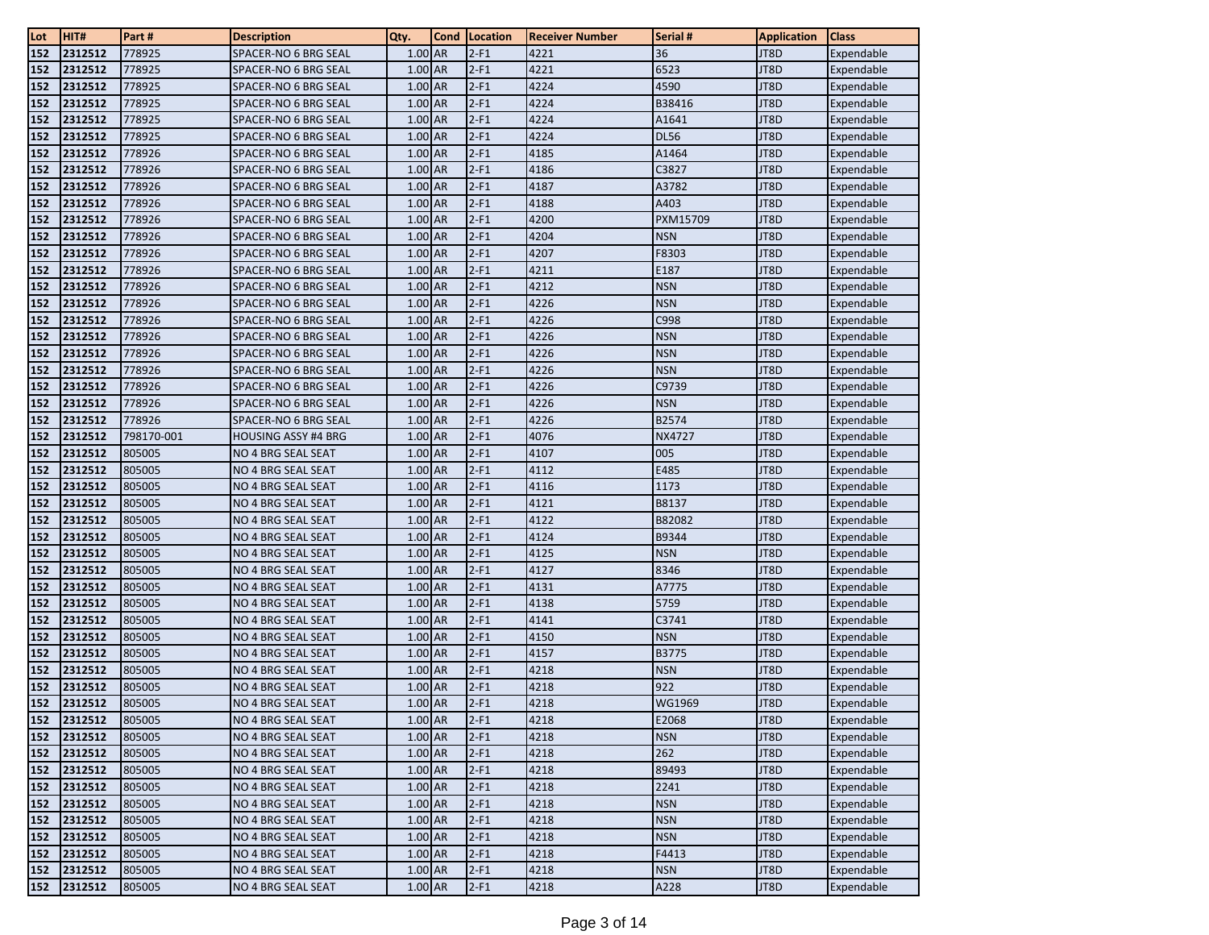| Lot        | HIT#               | Part #           | <b>Description</b>                       | Qty.               | Cond | Location         | <b>Receiver Number</b> | Serial #      | <b>Application</b> | <b>Class</b>             |
|------------|--------------------|------------------|------------------------------------------|--------------------|------|------------------|------------------------|---------------|--------------------|--------------------------|
| 152        | 2312512            | 778925           | SPACER-NO 6 BRG SEAL                     | 1.00 AR            |      | $2-F1$           | 4221                   | 36            | JT8D               | Expendable               |
| 152        | 2312512            | 778925           | SPACER-NO 6 BRG SEAL                     | 1.00 AR            |      | $2-F1$           | 4221                   | 6523          | JT8D               | Expendable               |
| 152        | 2312512            | 778925           | SPACER-NO 6 BRG SEAL                     | 1.00 AR            |      | $2-F1$           | 4224                   | 4590          | JT8D               | Expendable               |
| 152        | 2312512            | 778925           | SPACER-NO 6 BRG SEAL                     | 1.00 AR            |      | $2-F1$           | 4224                   | B38416        | JT8D               | Expendable               |
| 152        | 2312512            | 778925           | SPACER-NO 6 BRG SEAL                     | 1.00 AR            |      | $2-F1$           | 4224                   | A1641         | JT8D               | Expendable               |
| 152        | 2312512            | 778925           | SPACER-NO 6 BRG SEAL                     | 1.00 AR            |      | $2-F1$           | 4224                   | <b>DL56</b>   | JT8D               | Expendable               |
| 152        | 2312512            | 778926           | SPACER-NO 6 BRG SEAL                     | 1.00 AR            |      | $2-F1$           | 4185                   | A1464         | JT8D               | Expendable               |
| 152        | 2312512            | 778926           | SPACER-NO 6 BRG SEAL                     | 1.00 AR            |      | $2-F1$           | 4186                   | C3827         | JT8D               | Expendable               |
| 152        | 2312512            | 778926           | SPACER-NO 6 BRG SEAL                     | 1.00 AR            |      | $2-F1$           | 4187                   | A3782         | JT8D               | Expendable               |
| 152        | 2312512            | 778926           | <b>SPACER-NO 6 BRG SEAL</b>              | 1.00 AR            |      | $2-F1$           | 4188                   | A403          | JT8D               | Expendable               |
| 152        | 2312512            | 778926           | SPACER-NO 6 BRG SEAL                     | $1.00$ AR          |      | $2-F1$           | 4200                   | PXM15709      | JT8D               | Expendable               |
| 152        | 2312512            | 778926           | SPACER-NO 6 BRG SEAL                     | 1.00 AR            |      | $2-F1$           | 4204                   | <b>NSN</b>    | JT8D               | Expendable               |
| 152        | 2312512            | 778926           | SPACER-NO 6 BRG SEAL                     | 1.00 AR            |      | $2-F1$           | 4207                   | F8303         | JT8D               | Expendable               |
| 152        | 2312512            | 778926           | SPACER-NO 6 BRG SEAL                     | 1.00 AR            |      | $2-F1$           | 4211                   | E187          | JT8D               | Expendable               |
| 152        | 2312512            | 778926           | SPACER-NO 6 BRG SEAL                     | 1.00 AR            |      | $2-F1$           | 4212                   | <b>NSN</b>    | JT8D               | Expendable               |
| 152        | 2312512            | 778926           | SPACER-NO 6 BRG SEAL                     | 1.00 AR            |      | $2-F1$           | 4226                   | <b>NSN</b>    | JT8D               | Expendable               |
| 152        | 2312512            | 778926           | SPACER-NO 6 BRG SEAL                     | 1.00 AR            |      | $2-F1$           | 4226                   | C998          | JT8D               | Expendable               |
| 152        | 2312512            | 778926           | SPACER-NO 6 BRG SEAL                     | 1.00 AR            |      | $2-F1$           | 4226                   | <b>NSN</b>    | JT8D               | Expendable               |
| 152        | 2312512            | 778926           | SPACER-NO 6 BRG SEAL                     | 1.00 AR            |      | $2-F1$           | 4226                   | <b>NSN</b>    | JT8D               | Expendable               |
| 152        | 2312512            | 778926           | SPACER-NO 6 BRG SEAL                     | 1.00 AR            |      | $2-F1$           | 4226                   | <b>NSN</b>    | JT8D               | Expendable               |
| 152        | 2312512            | 778926           | SPACER-NO 6 BRG SEAL                     | 1.00 AR            |      | $2-F1$           | 4226                   | C9739         | JT8D               | Expendable               |
| 152        | 2312512            | 778926           | SPACER-NO 6 BRG SEAL                     | 1.00 AR            |      | $2-F1$           | 4226                   | <b>NSN</b>    | JT8D               | Expendable               |
| 152        | 2312512            | 778926           | SPACER-NO 6 BRG SEAL                     | 1.00 AR            |      | $2-F1$           | 4226                   | B2574         | JT8D               | Expendable               |
| 152        | 2312512            | 798170-001       | <b>HOUSING ASSY #4 BRG</b>               | 1.00 AR            |      | $2-F1$           | 4076                   | <b>NX4727</b> | JT8D               | Expendable               |
| 152        | 2312512            | 805005           | NO 4 BRG SEAL SEAT                       | 1.00 AR            |      | $2-F1$           | 4107                   | 005           | JT8D               | Expendable               |
| 152        | 2312512            | 805005           | NO 4 BRG SEAL SEAT                       | 1.00 AR            |      | $2-F1$           | 4112                   | E485          | JT8D               | Expendable               |
| 152        | 2312512            | 805005           | NO 4 BRG SEAL SEAT                       | 1.00 AR            |      | $2-F1$           | 4116                   | 1173          | JT8D               | Expendable               |
| 152        | 2312512            | 805005           | NO 4 BRG SEAL SEAT                       | 1.00 AR            |      | $2-F1$           | 4121                   | B8137         | JT8D               | Expendable               |
| 152        | 2312512            | 805005           | NO 4 BRG SEAL SEAT                       | 1.00 AR            |      | $2-F1$           | 4122                   | B82082        | JT8D               | Expendable               |
| 152        | 2312512            | 805005           | NO 4 BRG SEAL SEAT                       | 1.00 AR            |      | $2-F1$           | 4124                   | B9344         | JT8D               | Expendable               |
| 152        | 2312512            | 805005           | NO 4 BRG SEAL SEAT                       | 1.00 AR            |      | $2-F1$           | 4125                   | <b>NSN</b>    | JT8D               | Expendable               |
| 152        | 2312512            | 805005<br>805005 | NO 4 BRG SEAL SEAT                       | 1.00 AR            |      | $2-F1$<br>$2-F1$ | 4127<br>4131           | 8346<br>A7775 | JT8D               | Expendable               |
| 152<br>152 | 2312512<br>2312512 | 805005           | NO 4 BRG SEAL SEAT<br>NO 4 BRG SEAL SEAT | 1.00 AR<br>1.00 AR |      | $2-F1$           | 4138                   | 5759          | JT8D<br>JT8D       | Expendable               |
| 152        | 2312512            | 805005           | NO 4 BRG SEAL SEAT                       | 1.00 AR            |      | $2-F1$           | 4141                   | C3741         | JT8D               | Expendable<br>Expendable |
| 152        | 2312512            | 805005           | NO 4 BRG SEAL SEAT                       | 1.00 AR            |      | $2-F1$           | 4150                   | <b>NSN</b>    | JT8D               | Expendable               |
| 152        | 2312512            | 805005           | NO 4 BRG SEAL SEAT                       | 1.00 AR            |      | $2-F1$           | 4157                   | B3775         | JT8D               | Expendable               |
| 152        | 2312512            | 805005           | NO 4 BRG SEAL SEAT                       | 1.00 AR            |      | $2-F1$           | 4218                   | <b>NSN</b>    | JT8D               | Expendable               |
| 152        | 2312512            | 805005           | NO 4 BRG SEAL SEAT                       | 1.00 AR            |      | $2-F1$           | 4218                   | 922           | JT8D               | Expendable               |
| 152        | 2312512            | 805005           | NO 4 BRG SEAL SEAT                       | 1.00 AR            |      | $2-F1$           | 4218                   | WG1969        | JT8D               | Expendable               |
| 152        | 2312512            | 805005           | NO 4 BRG SEAL SEAT                       | 1.00 AR            |      | $2-F1$           | 4218                   | E2068         | JT8D               | Expendable               |
| 152        | 2312512            | 805005           | NO 4 BRG SEAL SEAT                       | 1.00 AR            |      | $2-F1$           | 4218                   | <b>NSN</b>    | JT8D               | Expendable               |
| 152        | 2312512            | 805005           | NO 4 BRG SEAL SEAT                       | 1.00 AR            |      | $2-F1$           | 4218                   | 262           | JT8D               | Expendable               |
| 152        | 2312512            | 805005           | NO 4 BRG SEAL SEAT                       | 1.00 AR            |      | $2-F1$           | 4218                   | 89493         | JT8D               | Expendable               |
| 152        | 2312512            | 805005           | NO 4 BRG SEAL SEAT                       | $1.00$ AR          |      | $2-F1$           | 4218                   | 2241          | JT8D               | Expendable               |
| 152        | 2312512            | 805005           | NO 4 BRG SEAL SEAT                       | 1.00 AR            |      | $2-F1$           | 4218                   | <b>NSN</b>    | JT8D               | Expendable               |
| 152        | 2312512            | 805005           | NO 4 BRG SEAL SEAT                       | 1.00 AR            |      | $2-F1$           | 4218                   | <b>NSN</b>    | JT8D               | Expendable               |
| 152        | 2312512            | 805005           | NO 4 BRG SEAL SEAT                       | 1.00 AR            |      | $2-F1$           | 4218                   | <b>NSN</b>    | JT8D               | Expendable               |
| 152        | 2312512            | 805005           | NO 4 BRG SEAL SEAT                       | 1.00 AR            |      | $2-F1$           | 4218                   | F4413         | JT8D               | Expendable               |
| 152        | 2312512            | 805005           | NO 4 BRG SEAL SEAT                       | 1.00 AR            |      | $2-F1$           | 4218                   | <b>NSN</b>    | JT8D               | Expendable               |
| 152        | 2312512            | 805005           | NO 4 BRG SEAL SEAT                       | $1.00$ AR          |      | $2-F1$           | 4218                   | A228          | JT8D               | Expendable               |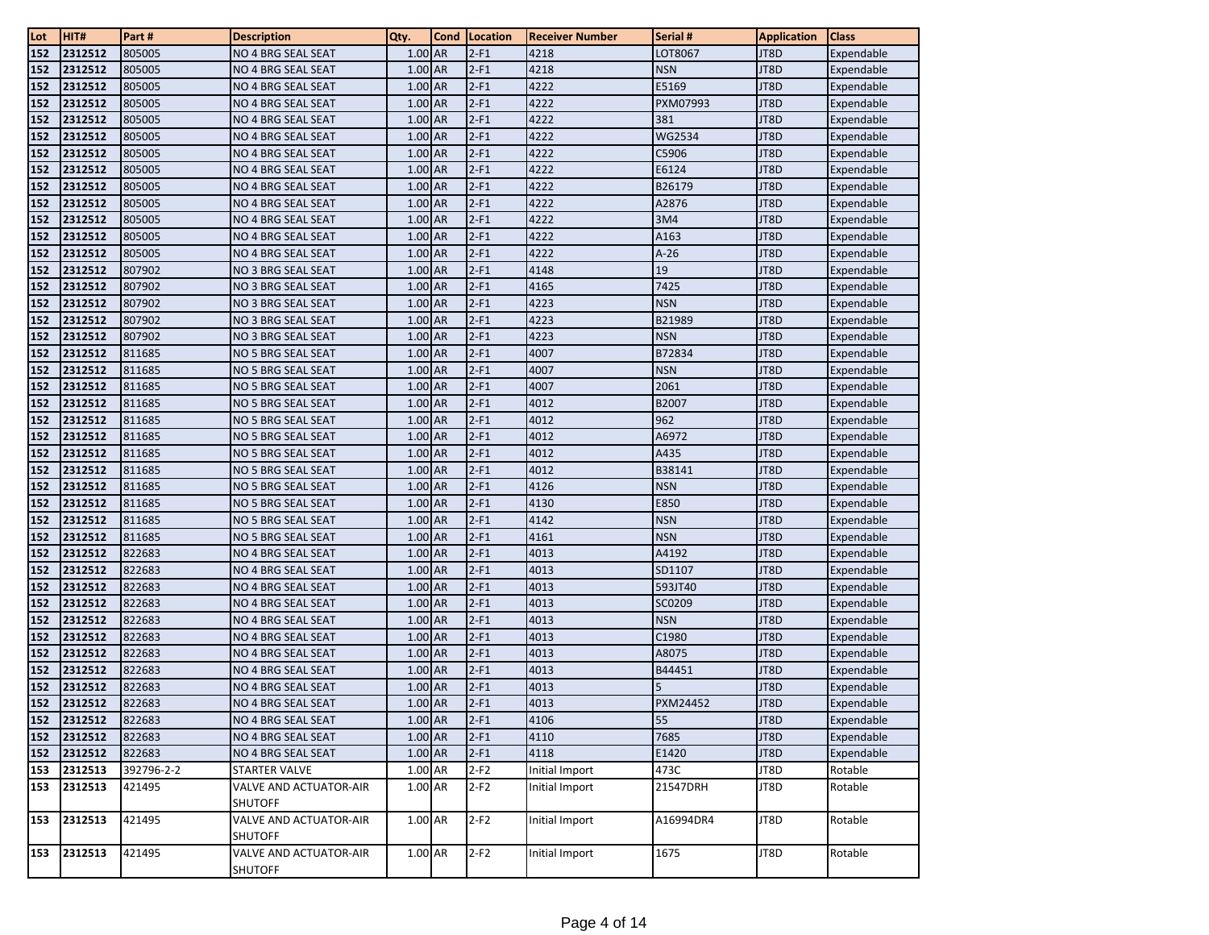| Lot | HIT#    | Part #     | <b>Description</b>                              | Qty.      | Cond | Location | Receiver Number | Serial #   | <b>Application</b> | <b>Class</b> |
|-----|---------|------------|-------------------------------------------------|-----------|------|----------|-----------------|------------|--------------------|--------------|
| 152 | 2312512 | 805005     | NO 4 BRG SEAL SEAT                              | 1.00 AR   |      | $2-F1$   | 4218            | LOT8067    | JT8D               | Expendable   |
| 152 | 2312512 | 805005     | NO 4 BRG SEAL SEAT                              | 1.00 AR   |      | $2-F1$   | 4218            | <b>NSN</b> | JT8D               | Expendable   |
| 152 | 2312512 | 805005     | NO 4 BRG SEAL SEAT                              | 1.00 AR   |      | $2-F1$   | 4222            | E5169      | JT8D               | Expendable   |
| 152 | 2312512 | 805005     | NO 4 BRG SEAL SEAT                              | 1.00 AR   |      | $2-F1$   | 4222            | PXM07993   | JT8D               | Expendable   |
| 152 | 2312512 | 805005     | NO 4 BRG SEAL SEAT                              | 1.00 AR   |      | $2-F1$   | 4222            | 381        | JT8D               | Expendable   |
| 152 | 2312512 | 805005     | NO 4 BRG SEAL SEAT                              | 1.00 AR   |      | $2-F1$   | 4222            | WG2534     | JT8D               | Expendable   |
| 152 | 2312512 | 805005     | NO 4 BRG SEAL SEAT                              | 1.00 AR   |      | $2-F1$   | 4222            | C5906      | JT8D               | Expendable   |
| 152 | 2312512 | 805005     | NO 4 BRG SEAL SEAT                              | 1.00 AR   |      | $2-F1$   | 4222            | E6124      | JT8D               | Expendable   |
| 152 | 2312512 | 805005     | NO 4 BRG SEAL SEAT                              | 1.00 AR   |      | $2-F1$   | 4222            | B26179     | JT8D               | Expendable   |
| 152 | 2312512 | 805005     | NO 4 BRG SEAL SEAT                              | 1.00 AR   |      | $2-F1$   | 4222            | A2876      | JT8D               | Expendable   |
| 152 | 2312512 | 805005     | NO 4 BRG SEAL SEAT                              | 1.00 AR   |      | $2-F1$   | 4222            | 3M4        | JT8D               | Expendable   |
| 152 | 2312512 | 805005     | NO 4 BRG SEAL SEAT                              | 1.00 AR   |      | $2-F1$   | 4222            | A163       | JT8D               | Expendable   |
| 152 | 2312512 | 805005     | NO 4 BRG SEAL SEAT                              | 1.00 AR   |      | $2-F1$   | 4222            | $A-26$     | JT8D               | Expendable   |
| 152 | 2312512 | 807902     | NO 3 BRG SEAL SEAT                              | 1.00 AR   |      | $2-F1$   | 4148            | 19         | JT8D               | Expendable   |
| 152 | 2312512 | 807902     | NO 3 BRG SEAL SEAT                              | 1.00 AR   |      | $2-F1$   | 4165            | 7425       | JT8D               | Expendable   |
| 152 | 2312512 | 807902     | NO 3 BRG SEAL SEAT                              | 1.00 AR   |      | $2-F1$   | 4223            | <b>NSN</b> | JT8D               | Expendable   |
| 152 | 2312512 | 807902     | NO 3 BRG SEAL SEAT                              | 1.00 AR   |      | $2-F1$   | 4223            | B21989     | JT8D               | Expendable   |
| 152 | 2312512 | 807902     | NO 3 BRG SEAL SEAT                              | 1.00 AR   |      | $2-F1$   | 4223            | <b>NSN</b> | JT8D               | Expendable   |
| 152 | 2312512 | 811685     | NO 5 BRG SEAL SEAT                              | 1.00 AR   |      | $2-F1$   | 4007            | B72834     | JT8D               | Expendable   |
| 152 | 2312512 | 811685     | NO 5 BRG SEAL SEAT                              | 1.00 AR   |      | $2-F1$   | 4007            | <b>NSN</b> | JT8D               | Expendable   |
| 152 | 2312512 | 811685     | NO 5 BRG SEAL SEAT                              | 1.00 AR   |      | $2-F1$   | 4007            | 2061       | JT8D               | Expendable   |
| 152 | 2312512 | 811685     | NO 5 BRG SEAL SEAT                              | 1.00 AR   |      | $2-F1$   | 4012            | B2007      | JT8D               | Expendable   |
| 152 | 2312512 | 811685     | NO 5 BRG SEAL SEAT                              | 1.00 AR   |      | $2-F1$   | 4012            | 962        | JT8D               | Expendable   |
| 152 | 2312512 | 811685     | NO 5 BRG SEAL SEAT                              | 1.00 AR   |      | $2-F1$   | 4012            | A6972      | JT8D               | Expendable   |
| 152 | 2312512 | 811685     | NO 5 BRG SEAL SEAT                              | 1.00 AR   |      | $2-F1$   | 4012            | A435       | JT8D               | Expendable   |
| 152 | 2312512 | 811685     | NO 5 BRG SEAL SEAT                              | 1.00 AR   |      | $2-F1$   | 4012            | B38141     | JT8D               | Expendable   |
| 152 | 2312512 | 811685     | NO 5 BRG SEAL SEAT                              | 1.00 AR   |      | $2-F1$   | 4126            | <b>NSN</b> | JT8D               | Expendable   |
| 152 | 2312512 | 811685     | NO 5 BRG SEAL SEAT                              | 1.00 AR   |      | $2-F1$   | 4130            | E850       | JT8D               | Expendable   |
| 152 | 2312512 | 811685     | NO 5 BRG SEAL SEAT                              | 1.00 AR   |      | $2-F1$   | 4142            | <b>NSN</b> | JT8D               | Expendable   |
| 152 | 2312512 | 811685     | NO 5 BRG SEAL SEAT                              | 1.00 AR   |      | $2-F1$   | 4161            | <b>NSN</b> | JT8D               | Expendable   |
| 152 | 2312512 | 822683     | NO 4 BRG SEAL SEAT                              | 1.00 AR   |      | $2-F1$   | 4013            | A4192      | JT8D               | Expendable   |
| 152 | 2312512 | 822683     | NO 4 BRG SEAL SEAT                              | 1.00 AR   |      | $2-F1$   | 4013            | SD1107     | JT8D               | Expendable   |
| 152 | 2312512 | 822683     | NO 4 BRG SEAL SEAT                              | 1.00 AR   |      | $2-F1$   | 4013            | 593JT40    | JT8D               | Expendable   |
| 152 | 2312512 | 822683     | NO 4 BRG SEAL SEAT                              | 1.00 AR   |      | $2-F1$   | 4013            | SC0209     | JT8D               | Expendable   |
| 152 | 2312512 | 822683     | NO 4 BRG SEAL SEAT                              | 1.00 AR   |      | $2-F1$   | 4013            | <b>NSN</b> | JT8D               | Expendable   |
| 152 | 2312512 | 822683     | NO 4 BRG SEAL SEAT                              | 1.00 AR   |      | $2-F1$   | 4013            | C1980      | JT8D               | Expendable   |
| 152 | 2312512 | 822683     | NO 4 BRG SEAL SEAT                              | 1.00 AR   |      | $2-F1$   | 4013            | A8075      | JT8D               | Expendable   |
| 152 | 2312512 | 822683     | NO 4 BRG SEAL SEAT                              | 1.00 AR   |      | $2-F1$   | 4013            | B44451     | JT8D               | Expendable   |
| 152 | 2312512 | 822683     | NO 4 BRG SEAL SEAT                              | 1.00 AR   |      | $2-F1$   | 4013            | 5          | JT8D               | Expendable   |
| 152 | 2312512 | 822683     | NO 4 BRG SEAL SEAT                              | 1.00 AR   |      | $2-F1$   | 4013            | PXM24452   | JT8D               | Expendable   |
| 152 | 2312512 | 822683     | NO 4 BRG SEAL SEAT                              | $1.00$ AR |      | $2-F1$   | 4106            | 55         | JT8D               | Expendable   |
| 152 | 2312512 | 822683     | NO 4 BRG SEAL SEAT                              | 1.00 AR   |      | $2-F1$   | 4110            | 7685       | JT8D               | Expendable   |
| 152 | 2312512 | 822683     | NO 4 BRG SEAL SEAT                              | 1.00 AR   |      | $2-F1$   | 4118            | E1420      | JT8D               | Expendable   |
| 153 | 2312513 | 392796-2-2 | <b>STARTER VALVE</b>                            | 1.00 AR   |      | $2-F2$   | Initial Import  | 473C       | JT8D               | Rotable      |
| 153 | 2312513 | 421495     | VALVE AND ACTUATOR-AIR<br><b>SHUTOFF</b>        | 1.00 AR   |      | $2-F2$   | Initial Import  | 21547DRH   | JT8D               | Rotable      |
| 153 | 2312513 | 421495     | <b>VALVE AND ACTUATOR-AIR</b><br><b>SHUTOFF</b> | 1.00 AR   |      | $2-F2$   | Initial Import  | A16994DR4  | JT8D               | Rotable      |
| 153 | 2312513 | 421495     | <b>VALVE AND ACTUATOR-AIR</b><br><b>SHUTOFF</b> | 1.00 AR   |      | $2-F2$   | Initial Import  | 1675       | JT8D               | Rotable      |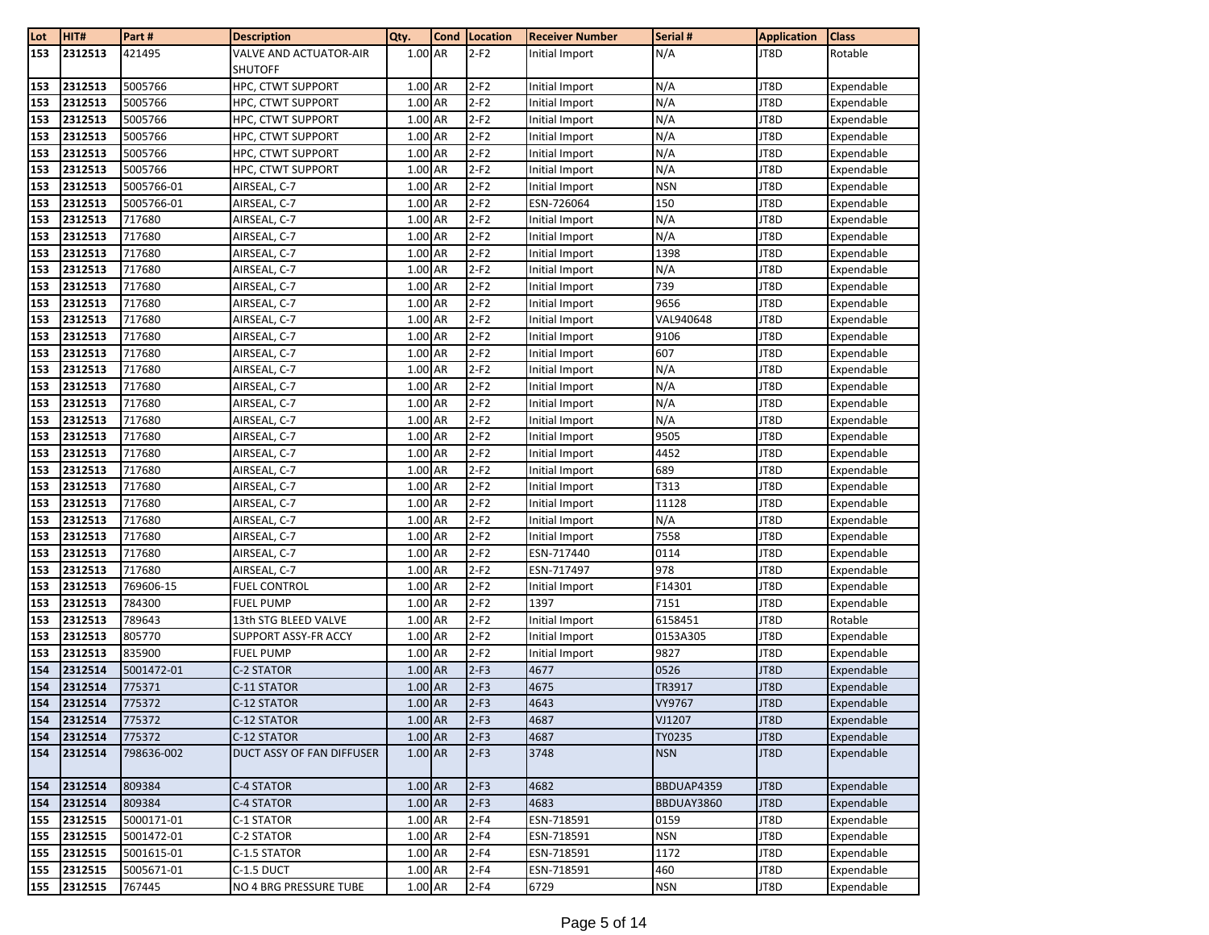| Lot        | HIT#               | Part#            | <b>Description</b>            | Qty.                 | Cond | Location         | <b>Receiver Number</b> | Serial #         | <b>Application</b> | Class                    |
|------------|--------------------|------------------|-------------------------------|----------------------|------|------------------|------------------------|------------------|--------------------|--------------------------|
| 153        | 2312513            | 421495           | <b>VALVE AND ACTUATOR-AIR</b> | 1.00 AR              |      | $2-F2$           | Initial Import         | N/A              | JT8D               | Rotable                  |
|            |                    |                  | <b>SHUTOFF</b>                |                      |      |                  |                        |                  |                    |                          |
| 153        | 2312513            | 5005766          | HPC, CTWT SUPPORT             | 1.00 AR              |      | $2-F2$           | Initial Import         | N/A              | JT8D               | Expendable               |
| 153        | 2312513            | 5005766          | HPC, CTWT SUPPORT             | 1.00 AR              |      | $2-F2$           | Initial Import         | N/A              | JT8D               | Expendable               |
| 153        | 2312513            | 5005766          | HPC, CTWT SUPPORT             | 1.00 AR              |      | $2-F2$           | Initial Import         | N/A              | JT8D               | Expendable               |
| 153        | 2312513            | 5005766          | HPC, CTWT SUPPORT             | 1.00 AR              |      | $2-F2$           | Initial Import         | N/A              | JT8D               | Expendable               |
| 153        | 2312513            | 5005766          | HPC, CTWT SUPPORT             | 1.00 AR              |      | $2-F2$           | Initial Import         | N/A              | JT8D               | Expendable               |
| 153        | 2312513            | 5005766          | HPC, CTWT SUPPORT             | 1.00 AR              |      | $2-F2$           | Initial Import         | N/A              | JT8D               | Expendable               |
| 153        | 2312513            | 5005766-01       | AIRSEAL, C-7                  | 1.00 AR              |      | $2-F2$           | Initial Import         | <b>NSN</b>       | JT8D               | Expendable               |
| 153        | 2312513            | 5005766-01       | AIRSEAL, C-7                  | 1.00 AR              |      | $2-F2$           | ESN-726064             | 150              | JT8D               | Expendable               |
| 153        | 2312513            | 717680           | AIRSEAL, C-7                  | 1.00 AR              |      | $2-F2$           | Initial Import         | N/A              | JT8D               | Expendable               |
| 153        | 2312513            | 717680           | AIRSEAL, C-7                  | 1.00 AR              |      | $2-F2$           | Initial Import         | N/A              | JT8D               | Expendable               |
| 153        | 2312513            | 717680           | AIRSEAL, C-7                  | 1.00 AR              |      | $2-F2$           | Initial Import         | 1398             | JT8D               | Expendable               |
| 153        | 2312513            | 717680           | AIRSEAL, C-7                  | 1.00 AR              |      | $2-F2$           | Initial Import         | N/A              | JT8D               | Expendable               |
| 153        | 2312513            | 717680           | AIRSEAL, C-7                  | 1.00 AR              |      | $2-F2$           | Initial Import         | 739              | JT8D               | Expendable               |
| 153        | 2312513            | 717680           | AIRSEAL, C-7                  | 1.00 AR              |      | $2-F2$           | Initial Import         | 9656             | JT8D               | Expendable               |
| 153        | 2312513            | 717680           | AIRSEAL, C-7                  | 1.00 AR              |      | $2-F2$           | Initial Import         | VAL940648        | JT8D               | Expendable               |
| 153        | 2312513            | 717680           | AIRSEAL, C-7                  | 1.00 AR              |      | $2-F2$           | Initial Import         | 9106             | JT8D               | Expendable               |
| 153        | 2312513            | 717680           | AIRSEAL, C-7                  | 1.00 AR              |      | $2-F2$           | Initial Import         | 607              | JT8D               | Expendable               |
| 153        | 2312513            | 717680           | AIRSEAL, C-7                  | 1.00 AR              |      | $2-F2$           | Initial Import         | N/A              | JT8D               | Expendable               |
| 153        | 2312513            | 717680           | AIRSEAL, C-7                  | 1.00 AR              |      | $2-F2$           | Initial Import         | N/A              | JT8D               | Expendable               |
| 153        | 2312513            | 717680           | AIRSEAL, C-7                  | 1.00 AR              |      | $2-F2$           | Initial Import         | N/A              | JT8D               | Expendable               |
| 153        | 2312513            | 717680           | AIRSEAL, C-7                  | 1.00 AR              |      | $2-F2$           | Initial Import         | N/A              | JT8D               | Expendable               |
| 153        | 2312513            | 717680           | AIRSEAL, C-7                  | 1.00 AR              |      | $2-F2$           | Initial Import         | 9505             | JT8D               | Expendable               |
| 153        | 2312513            | 717680           | AIRSEAL, C-7                  | 1.00 AR              |      | $2-F2$           | Initial Import         | 4452             | JT8D               | Expendable               |
| 153        | 2312513            | 717680           | AIRSEAL, C-7                  | 1.00 AR              |      | $2-F2$           | Initial Import         | 689              | JT8D               | Expendable               |
| 153        | 2312513            | 717680           | AIRSEAL, C-7                  | 1.00 AR              |      | $2-F2$           | Initial Import         | T313             | JT8D               | Expendable               |
| 153        | 2312513            | 717680           | AIRSEAL, C-7                  | 1.00 AR              |      | $2-F2$           | Initial Import         | 11128            | JT8D               | Expendable               |
| 153        | 2312513            | 717680           | AIRSEAL, C-7                  | 1.00 AR              |      | $2-F2$           | Initial Import         | N/A              | JT8D               | Expendable               |
| 153        | 2312513            | 717680           | AIRSEAL, C-7                  | 1.00 AR              |      | $2-F2$           | Initial Import         | 7558             | JT8D               | Expendable               |
| 153        | 2312513            | 717680           | AIRSEAL, C-7                  | 1.00 AR              |      | $2-F2$           | ESN-717440             | 0114             | JT8D               | Expendable               |
| 153        | 2312513            | 717680           | AIRSEAL, C-7                  | 1.00 AR              |      | $2-F2$           | ESN-717497             | 978              | JT8D               | Expendable               |
| 153        | 2312513            | 769606-15        | FUEL CONTROL                  | 1.00 AR              |      | $2-F2$           | Initial Import         | F14301           | JT8D               | Expendable               |
| 153        | 2312513            | 784300           | FUEL PUMP                     | 1.00 AR              |      | $2-F2$           | 1397                   | 7151             | JT8D               | Expendable               |
| 153        | 2312513            | 789643           | 13th STG BLEED VALVE          | 1.00 AR              |      | $2-F2$           | Initial Import         | 6158451          | JT8D               | Rotable                  |
| 153        | 2312513            | 805770           | SUPPORT ASSY-FR ACCY          | 1.00 AR              |      | $2-F2$           | Initial Import         | 0153A305         | JT8D               | Expendable               |
| 153        | 2312513            | 835900           | FUEL PUMP                     | 1.00 AR              |      | $2-F2$           | Initial Import         | 9827             | JT8D               | Expendable               |
| 154        | 2312514            | 5001472-01       | C-2 STATOR                    | 1.00 AR              |      | $2-F3$           | 4677                   | 0526             | JT8D               | Expendable               |
| 154        | 2312514            | 775371<br>775372 | C-11 STATOR                   | 1.00 AR<br>$1.00$ AR |      | $2-F3$<br>$2-F3$ | 4675<br>4643           | TR3917           | JT8D               | Expendable               |
| 154        | 2312514            |                  | C-12 STATOR                   |                      |      |                  |                        | VY9767           | JT8D<br>JT8D       | Expendable               |
| 154<br>154 | 2312514<br>2312514 | 775372<br>775372 | C-12 STATOR<br>C-12 STATOR    | 1.00 AR<br>1.00 AR   |      | $2-F3$<br>$2-F3$ | 4687<br>4687           | VJ1207<br>TY0235 | JT8D               | Expendable<br>Expendable |
| 154        | 2312514            | 798636-002       | DUCT ASSY OF FAN DIFFUSER     | 1.00 AR              |      | $2-F3$           | 3748                   | <b>NSN</b>       | JT8D               | Expendable               |
|            |                    |                  |                               |                      |      |                  |                        |                  |                    |                          |
| 154        | 2312514            | 809384           | C-4 STATOR                    | $1.00$ AR            |      | $2-F3$           | 4682                   | BBDUAP4359       | JT8D               | Expendable               |
| 154        | 2312514            | 809384           | C-4 STATOR                    | 1.00 AR              |      | $2-F3$           | 4683                   | BBDUAY3860       | JT8D               | Expendable               |
| 155        | 2312515            | 5000171-01       | C-1 STATOR                    | $1.00\;$ AR          |      | $2-F4$           | ESN-718591             | 0159             | JT8D               | Expendable               |
| 155        | 2312515            | 5001472-01       | C-2 STATOR                    | 1.00 AR              |      | $2-F4$           | ESN-718591             | <b>NSN</b>       | JT8D               | Expendable               |
| 155        | 2312515            | 5001615-01       | C-1.5 STATOR                  | 1.00 AR              |      | $2-F4$           | ESN-718591             | 1172             | JT8D               | Expendable               |
| 155        | 2312515            | 5005671-01       | C-1.5 DUCT                    | 1.00 AR              |      | $2-F4$           | ESN-718591             | 460              | JT8D               | Expendable               |
| 155        | 2312515            | 767445           | NO 4 BRG PRESSURE TUBE        | 1.00 AR              |      | $2-F4$           | 6729                   | <b>NSN</b>       | JT8D               | Expendable               |
|            |                    |                  |                               |                      |      |                  |                        |                  |                    |                          |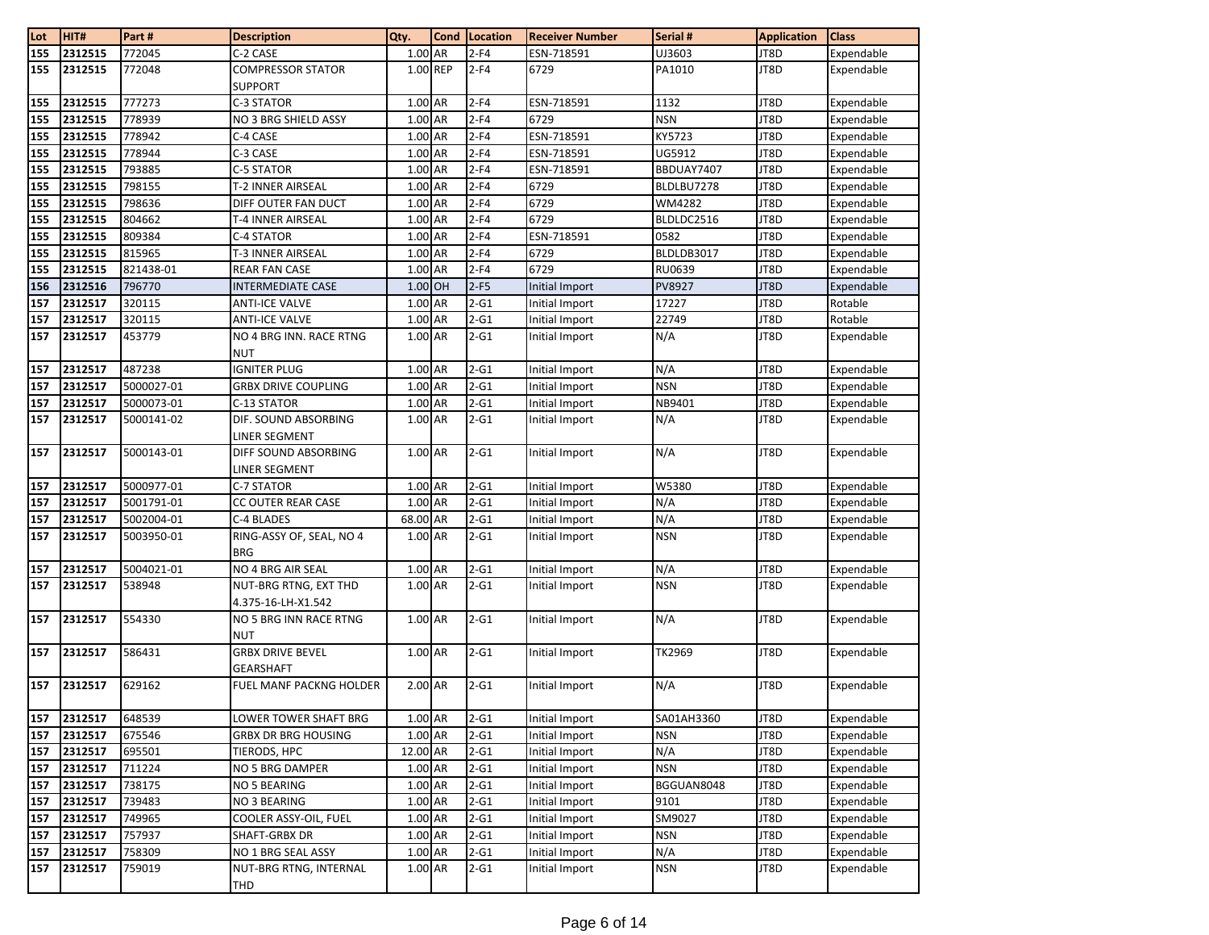| 2312515<br>772045<br>155<br>C-2 CASE<br>1.00 AR<br>$2-F4$<br>UJ3603<br>ESN-718591<br>$2-F4$<br>2312515<br>772048<br><b>COMPRESSOR STATOR</b><br>1.00 REP<br>6729<br>PA1010<br>155<br><b>SUPPORT</b><br>2312515<br>777273<br>1.00 AR<br>ESN-718591<br>1132<br>155<br>C-3 STATOR<br>$2-F4$<br>1.00 AR<br>2312515<br>778939<br>$2-F4$<br>6729<br><b>NSN</b><br>155<br>NO 3 BRG SHIELD ASSY<br>2312515<br>$1.00$ AR<br>$2-F4$<br>778942<br>ESN-718591<br>KY5723<br>155<br>C-4 CASE<br>778944<br>155<br>2312515<br>C-3 CASE<br>1.00 AR<br>$2-F4$<br>ESN-718591<br>UG5912<br>2312515<br>$2-F4$<br>793885<br>1.00 AR<br>BBDUAY7407<br>155<br>C-5 STATOR<br>ESN-718591<br>2312515<br>$1.00$ AR<br>$2-F4$<br>155<br>798155<br>T-2 INNER AIRSEAL<br>6729<br>BLDLBU7278<br>2312515<br>1.00 AR<br>155<br>798636<br>$2-F4$<br>6729<br>WM4282<br>DIFF OUTER FAN DUCT<br>2312515<br>6729<br>155<br>804662<br>1.00 AR<br>$2-F4$<br>T-4 INNER AIRSEAL<br>BLDLDC2516 | JT8D<br>JT8D<br>JT8D<br>JT8D<br>JT8D<br>JT8D<br>JT8D<br>JT8D<br>JT8D<br>JT8D<br>JT8D<br>JT8D<br>JT8D | Expendable<br>Expendable<br>Expendable<br>Expendable<br>Expendable<br>Expendable<br>Expendable<br>Expendable<br>Expendable<br>Expendable<br>Expendable<br>Expendable |
|----------------------------------------------------------------------------------------------------------------------------------------------------------------------------------------------------------------------------------------------------------------------------------------------------------------------------------------------------------------------------------------------------------------------------------------------------------------------------------------------------------------------------------------------------------------------------------------------------------------------------------------------------------------------------------------------------------------------------------------------------------------------------------------------------------------------------------------------------------------------------------------------------------------------------------------------------|------------------------------------------------------------------------------------------------------|----------------------------------------------------------------------------------------------------------------------------------------------------------------------|
|                                                                                                                                                                                                                                                                                                                                                                                                                                                                                                                                                                                                                                                                                                                                                                                                                                                                                                                                                    |                                                                                                      |                                                                                                                                                                      |
|                                                                                                                                                                                                                                                                                                                                                                                                                                                                                                                                                                                                                                                                                                                                                                                                                                                                                                                                                    |                                                                                                      |                                                                                                                                                                      |
|                                                                                                                                                                                                                                                                                                                                                                                                                                                                                                                                                                                                                                                                                                                                                                                                                                                                                                                                                    |                                                                                                      |                                                                                                                                                                      |
|                                                                                                                                                                                                                                                                                                                                                                                                                                                                                                                                                                                                                                                                                                                                                                                                                                                                                                                                                    |                                                                                                      |                                                                                                                                                                      |
|                                                                                                                                                                                                                                                                                                                                                                                                                                                                                                                                                                                                                                                                                                                                                                                                                                                                                                                                                    |                                                                                                      |                                                                                                                                                                      |
|                                                                                                                                                                                                                                                                                                                                                                                                                                                                                                                                                                                                                                                                                                                                                                                                                                                                                                                                                    |                                                                                                      |                                                                                                                                                                      |
|                                                                                                                                                                                                                                                                                                                                                                                                                                                                                                                                                                                                                                                                                                                                                                                                                                                                                                                                                    |                                                                                                      |                                                                                                                                                                      |
|                                                                                                                                                                                                                                                                                                                                                                                                                                                                                                                                                                                                                                                                                                                                                                                                                                                                                                                                                    |                                                                                                      |                                                                                                                                                                      |
|                                                                                                                                                                                                                                                                                                                                                                                                                                                                                                                                                                                                                                                                                                                                                                                                                                                                                                                                                    |                                                                                                      |                                                                                                                                                                      |
|                                                                                                                                                                                                                                                                                                                                                                                                                                                                                                                                                                                                                                                                                                                                                                                                                                                                                                                                                    |                                                                                                      |                                                                                                                                                                      |
| 2312515<br>$2-F4$<br>809384<br>1.00 AR<br>ESN-718591<br>0582<br>155<br>C-4 STATOR                                                                                                                                                                                                                                                                                                                                                                                                                                                                                                                                                                                                                                                                                                                                                                                                                                                                  |                                                                                                      |                                                                                                                                                                      |
| 2312515<br>$1.00$ AR<br>815965<br>$2-F4$<br>6729<br>BLDLDB3017<br>155<br>T-3 INNER AIRSEAL                                                                                                                                                                                                                                                                                                                                                                                                                                                                                                                                                                                                                                                                                                                                                                                                                                                         |                                                                                                      |                                                                                                                                                                      |
| 2312515<br>$2-F4$<br>155<br>821438-01<br><b>REAR FAN CASE</b><br>1.00 AR<br>6729<br><b>RU0639</b>                                                                                                                                                                                                                                                                                                                                                                                                                                                                                                                                                                                                                                                                                                                                                                                                                                                  |                                                                                                      | Expendable                                                                                                                                                           |
| 2312516<br>1.00 OH<br>$2-F5$<br>156<br>796770<br>PV8927<br><b>INTERMEDIATE CASE</b><br>Initial Import                                                                                                                                                                                                                                                                                                                                                                                                                                                                                                                                                                                                                                                                                                                                                                                                                                              | JT8D                                                                                                 | Expendable                                                                                                                                                           |
| 2312517<br>320115<br>1.00 AR<br>$2 - G1$<br>Initial Import<br>157<br><b>ANTI-ICE VALVE</b><br>17227                                                                                                                                                                                                                                                                                                                                                                                                                                                                                                                                                                                                                                                                                                                                                                                                                                                | JT8D                                                                                                 | Rotable                                                                                                                                                              |
| 2312517<br>320115<br>1.00 AR<br>$2 - G1$<br>22749<br>157<br><b>ANTI-ICE VALVE</b><br>Initial Import                                                                                                                                                                                                                                                                                                                                                                                                                                                                                                                                                                                                                                                                                                                                                                                                                                                | JT8D                                                                                                 | Rotable                                                                                                                                                              |
| $2-61$<br>2312517<br>453779<br>$1.00$ AR<br>N/A<br>NO 4 BRG INN. RACE RTNG<br>Initial Import<br>157<br><b>NUT</b>                                                                                                                                                                                                                                                                                                                                                                                                                                                                                                                                                                                                                                                                                                                                                                                                                                  | JT8D                                                                                                 | Expendable                                                                                                                                                           |
| 2312517<br>487238<br><b>IGNITER PLUG</b><br>$2 - G1$<br>N/A<br>157<br>1.00 AR<br>Initial Import                                                                                                                                                                                                                                                                                                                                                                                                                                                                                                                                                                                                                                                                                                                                                                                                                                                    | JT8D                                                                                                 | Expendable                                                                                                                                                           |
| 2312517<br>5000027-01<br>1.00 AR<br>$2-G1$<br>Initial Import<br><b>NSN</b><br>157<br><b>GRBX DRIVE COUPLING</b>                                                                                                                                                                                                                                                                                                                                                                                                                                                                                                                                                                                                                                                                                                                                                                                                                                    | JT8D                                                                                                 | Expendable                                                                                                                                                           |
| 2312517<br>1.00 AR<br>$2 - G1$<br>NB9401<br>157<br>5000073-01<br>Initial Import<br>C-13 STATOR                                                                                                                                                                                                                                                                                                                                                                                                                                                                                                                                                                                                                                                                                                                                                                                                                                                     | JT8D                                                                                                 | Expendable                                                                                                                                                           |
| $2 - G1$<br>2312517<br>1.00 AR<br>N/A<br>157<br>5000141-02<br>DIF. SOUND ABSORBING<br>Initial Import<br>LINER SEGMENT                                                                                                                                                                                                                                                                                                                                                                                                                                                                                                                                                                                                                                                                                                                                                                                                                              | JT8D                                                                                                 | Expendable                                                                                                                                                           |
| $2 - G1$<br>N/A<br>157<br>2312517<br>5000143-01<br>1.00 AR<br>DIFF SOUND ABSORBING<br>Initial Import<br>LINER SEGMENT                                                                                                                                                                                                                                                                                                                                                                                                                                                                                                                                                                                                                                                                                                                                                                                                                              | JT8D                                                                                                 | Expendable                                                                                                                                                           |
| 2312517<br>1.00 AR<br>$2 - G1$<br>157<br>5000977-01<br>Initial Import<br>W5380<br>C-7 STATOR                                                                                                                                                                                                                                                                                                                                                                                                                                                                                                                                                                                                                                                                                                                                                                                                                                                       | JT8D                                                                                                 | Expendable                                                                                                                                                           |
| 1.00 AR<br>$2 - G1$<br>2312517<br>N/A<br>157<br>5001791-01<br>CC OUTER REAR CASE<br>Initial Import                                                                                                                                                                                                                                                                                                                                                                                                                                                                                                                                                                                                                                                                                                                                                                                                                                                 | JT8D                                                                                                 | Expendable                                                                                                                                                           |
| N/A<br>2312517<br>68.00 AR<br>$2 - G1$<br>157<br>5002004-01<br>C-4 BLADES<br>Initial Import                                                                                                                                                                                                                                                                                                                                                                                                                                                                                                                                                                                                                                                                                                                                                                                                                                                        | JT8D                                                                                                 | Expendable                                                                                                                                                           |
| $2 - G1$<br>RING-ASSY OF, SEAL, NO 4<br>1.00 AR<br><b>NSN</b><br>157<br>2312517<br>5003950-01<br>Initial Import<br><b>BRG</b>                                                                                                                                                                                                                                                                                                                                                                                                                                                                                                                                                                                                                                                                                                                                                                                                                      | JT8D                                                                                                 | Expendable                                                                                                                                                           |
| 2312517<br>NO 4 BRG AIR SEAL<br>1.00 AR<br>$2-G1$<br>Initial Import<br>N/A<br>157<br>5004021-01                                                                                                                                                                                                                                                                                                                                                                                                                                                                                                                                                                                                                                                                                                                                                                                                                                                    | JT8D                                                                                                 | Expendable                                                                                                                                                           |
| 2312517<br>1.00 AR<br>$2-G1$<br>157<br>538948<br>NUT-BRG RTNG, EXT THD<br>Initial Import<br><b>NSN</b><br>4.375-16-LH-X1.542                                                                                                                                                                                                                                                                                                                                                                                                                                                                                                                                                                                                                                                                                                                                                                                                                       | JT8D                                                                                                 | Expendable                                                                                                                                                           |
| N/A<br>2312517<br>1.00 AR<br>$2 - G1$<br>157<br>554330<br>NO 5 BRG INN RACE RTNG<br>Initial Import<br><b>NUT</b>                                                                                                                                                                                                                                                                                                                                                                                                                                                                                                                                                                                                                                                                                                                                                                                                                                   | JT8D                                                                                                 | Expendable                                                                                                                                                           |
| 1.00 AR<br>$2-G1$<br>TK2969<br>157<br>2312517<br>586431<br><b>GRBX DRIVE BEVEL</b><br>Initial Import<br><b>GEARSHAFT</b>                                                                                                                                                                                                                                                                                                                                                                                                                                                                                                                                                                                                                                                                                                                                                                                                                           | JT8D                                                                                                 | Expendable                                                                                                                                                           |
| $2 - G1$<br>N/A<br>2312517<br>629162<br>2.00 AR<br>157<br>FUEL MANF PACKNG HOLDER<br>Initial Import                                                                                                                                                                                                                                                                                                                                                                                                                                                                                                                                                                                                                                                                                                                                                                                                                                                | JT8D                                                                                                 | Expendable                                                                                                                                                           |
| 2312517<br>648539<br>1.00 AR<br>$2-G1$<br>SA01AH3360<br>LOWER TOWER SHAFT BRG<br>Initial Import<br>157                                                                                                                                                                                                                                                                                                                                                                                                                                                                                                                                                                                                                                                                                                                                                                                                                                             | JT8D                                                                                                 | Expendable                                                                                                                                                           |
| 2312517<br>675546<br>1.00 AR<br>$2-G1$<br>157<br>GRBX DR BRG HOUSING<br>Initial Import<br><b>NSN</b>                                                                                                                                                                                                                                                                                                                                                                                                                                                                                                                                                                                                                                                                                                                                                                                                                                               | JT8D                                                                                                 | Expendable                                                                                                                                                           |
| 12.00 AR<br>N/A<br>157<br>2312517<br>695501<br>TIERODS, HPC<br>$2-G1$<br>Initial Import                                                                                                                                                                                                                                                                                                                                                                                                                                                                                                                                                                                                                                                                                                                                                                                                                                                            | JT8D                                                                                                 | Expendable                                                                                                                                                           |
| 2312517<br>711224<br>$2 - G1$<br><b>NSN</b><br>NO 5 BRG DAMPER<br>1.00 AR<br>Initial Import<br>157                                                                                                                                                                                                                                                                                                                                                                                                                                                                                                                                                                                                                                                                                                                                                                                                                                                 | JT8D                                                                                                 | Expendable                                                                                                                                                           |
| 2312517<br>$\overline{2}$ -G1<br>738175<br>1.00 AR<br>Initial Import<br>BGGUAN8048<br>157<br>NO 5 BEARING                                                                                                                                                                                                                                                                                                                                                                                                                                                                                                                                                                                                                                                                                                                                                                                                                                          | JT8D                                                                                                 | Expendable                                                                                                                                                           |
| 2312517<br>$2-G1$<br>9101<br>739483<br>NO 3 BEARING<br>1.00 AR<br>Initial Import<br>157                                                                                                                                                                                                                                                                                                                                                                                                                                                                                                                                                                                                                                                                                                                                                                                                                                                            | JT8D                                                                                                 | Expendable                                                                                                                                                           |
| 2312517<br>1.00 AR<br>$2 - G1$<br>SM9027<br>157<br>749965<br>COOLER ASSY-OIL, FUEL<br>Initial Import                                                                                                                                                                                                                                                                                                                                                                                                                                                                                                                                                                                                                                                                                                                                                                                                                                               | JT8D                                                                                                 | Expendable                                                                                                                                                           |
| 2312517<br>757937<br>1.00 AR<br>157<br>SHAFT-GRBX DR<br>$2-G1$<br>Initial Import<br><b>NSN</b>                                                                                                                                                                                                                                                                                                                                                                                                                                                                                                                                                                                                                                                                                                                                                                                                                                                     | JT8D                                                                                                 | Expendable                                                                                                                                                           |
| 2312517<br>$2 - G1$<br>N/A<br>758309<br>NO 1 BRG SEAL ASSY<br>1.00 AR<br>Initial Import<br>157                                                                                                                                                                                                                                                                                                                                                                                                                                                                                                                                                                                                                                                                                                                                                                                                                                                     | JT8D                                                                                                 | Expendable                                                                                                                                                           |
| 2312517<br>1.00 AR<br>$2-G1$<br><b>NSN</b><br>157<br>759019<br>NUT-BRG RTNG, INTERNAL<br>Initial Import<br>THD                                                                                                                                                                                                                                                                                                                                                                                                                                                                                                                                                                                                                                                                                                                                                                                                                                     | JT8D                                                                                                 | Expendable                                                                                                                                                           |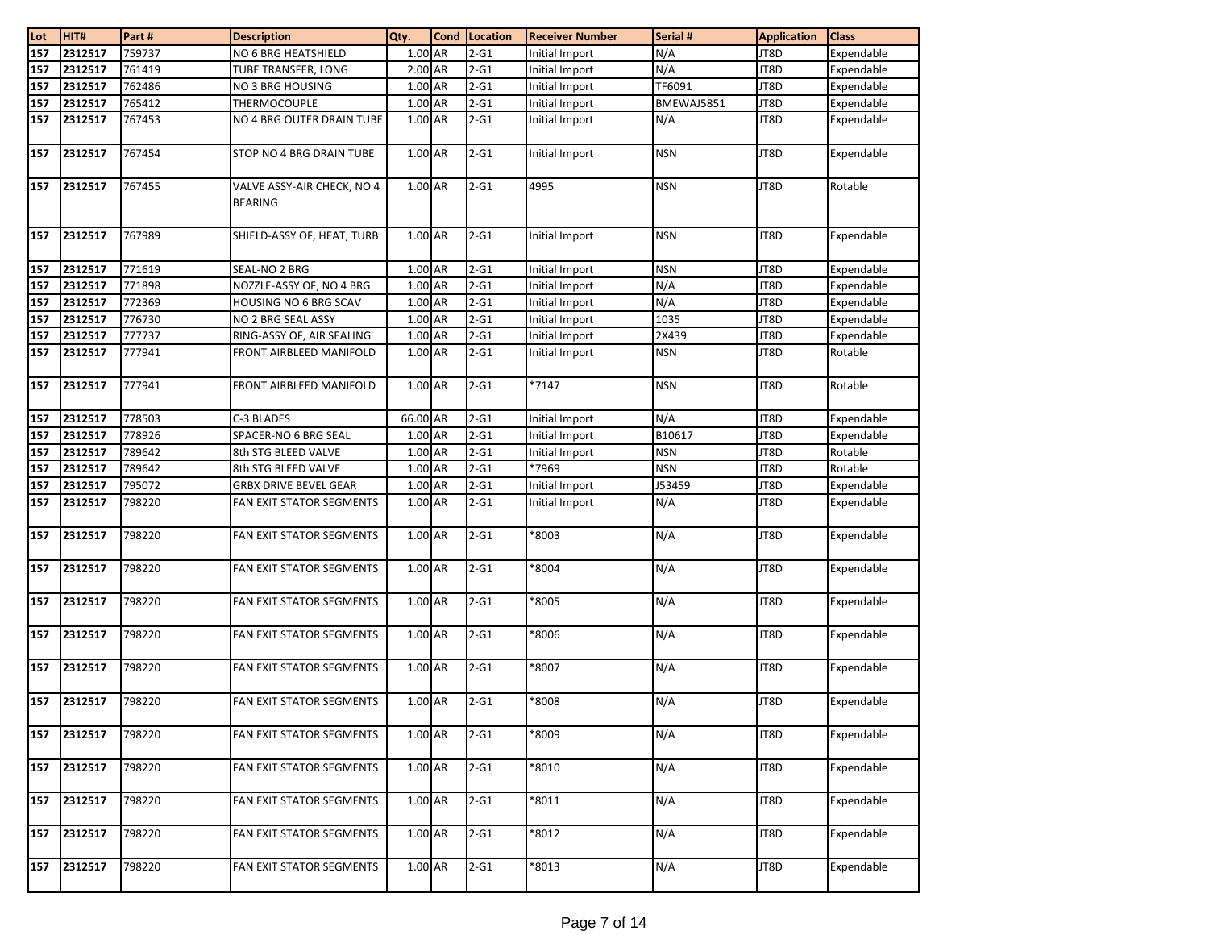| Lot | HIT#        | Part#  | <b>Description</b>                           | Qty.      | <b>Cond</b> | Location           | <b>Receiver Number</b> | Serial #   | <b>Application</b> | <b>Class</b> |
|-----|-------------|--------|----------------------------------------------|-----------|-------------|--------------------|------------------------|------------|--------------------|--------------|
| 157 | 2312517     | 759737 | NO 6 BRG HEATSHIELD                          | 1.00 AR   |             | $2-G1$             | Initial Import         | N/A        | JT8D               | Expendable   |
| 157 | 2312517     | 761419 | TUBE TRANSFER, LONG                          | 2.00 AR   |             | $2 - G1$           | Initial Import         | N/A        | JT8D               | Expendable   |
| 157 | 2312517     | 762486 | NO 3 BRG HOUSING                             | $1.00$ AR |             | $\overline{2}$ -G1 | Initial Import         | TF6091     | JT8D               | Expendable   |
| 157 | 2312517     | 765412 | THERMOCOUPLE                                 | 1.00 AR   |             | $2-G1$             | Initial Import         | BMEWAJ5851 | JT8D               | Expendable   |
| 157 | 2312517     | 767453 | NO 4 BRG OUTER DRAIN TUBE                    | 1.00 AR   |             | $2-G1$             | Initial Import         | N/A        | JT8D               | Expendable   |
| 157 | 2312517     | 767454 | STOP NO 4 BRG DRAIN TUBE                     | 1.00 AR   |             | $2-G1$             | Initial Import         | <b>NSN</b> | JT8D               | Expendable   |
| 157 | 2312517     | 767455 | VALVE ASSY-AIR CHECK, NO 4<br><b>BEARING</b> | 1.00 AR   |             | $2-G1$             | 4995                   | <b>NSN</b> | JT8D               | Rotable      |
| 157 | 2312517     | 767989 | SHIELD-ASSY OF, HEAT, TURB                   | 1.00 AR   |             | $2-G1$             | Initial Import         | <b>NSN</b> | JT8D               | Expendable   |
| 157 | 2312517     | 771619 | SEAL-NO 2 BRG                                | 1.00 AR   |             | $2 - G1$           | Initial Import         | <b>NSN</b> | JT8D               | Expendable   |
| 157 | 2312517     | 771898 | NOZZLE-ASSY OF, NO 4 BRG                     | 1.00 AR   |             | $2 - G1$           | Initial Import         | N/A        | JT8D               | Expendable   |
| 157 | 2312517     | 772369 | HOUSING NO 6 BRG SCAV                        | 1.00 AR   |             | $2 - G1$           | Initial Import         | N/A        | JT8D               | Expendable   |
| 157 | 2312517     | 776730 | NO 2 BRG SEAL ASSY                           | 1.00 AR   |             | $2 - G1$           | Initial Import         | 1035       | JT8D               | Expendable   |
| 157 | 2312517     | 777737 | RING-ASSY OF, AIR SEALING                    | 1.00 AR   |             | $2 - G1$           | Initial Import         | 2X439      | JT8D               | Expendable   |
| 157 | 2312517     | 777941 | FRONT AIRBLEED MANIFOLD                      | 1.00 AR   |             | $2-G1$             | Initial Import         | <b>NSN</b> | JT8D               | Rotable      |
| 157 | 2312517     | 777941 | FRONT AIRBLEED MANIFOLD                      | 1.00 AR   |             | $2-G1$             | *7147                  | <b>NSN</b> | JT8D               | Rotable      |
| 157 | 2312517     | 778503 | C-3 BLADES                                   | 66.00 AR  |             | $2-G1$             | Initial Import         | N/A        | JT8D               | Expendable   |
| 157 | 2312517     | 778926 | SPACER-NO 6 BRG SEAL                         | 1.00 AR   |             | $2-G1$             | Initial Import         | B10617     | JT8D               | Expendable   |
| 157 | 2312517     | 789642 | 8th STG BLEED VALVE                          | 1.00 AR   |             | $2 - G1$           | Initial Import         | <b>NSN</b> | JT8D               | Rotable      |
| 157 | 2312517     | 789642 | 8th STG BLEED VALVE                          | 1.00 AR   |             | $2 - G1$           | *7969                  | <b>NSN</b> | JT8D               | Rotable      |
| 157 | 2312517     | 795072 | <b>GRBX DRIVE BEVEL GEAR</b>                 | 1.00 AR   |             | $2 - G1$           | Initial Import         | J53459     | JT8D               | Expendable   |
| 157 | 2312517     | 798220 | FAN EXIT STATOR SEGMENTS                     | 1.00 AR   |             | $2-G1$             | Initial Import         | N/A        | JT8D               | Expendable   |
| 157 | 2312517     | 798220 | <b>FAN EXIT STATOR SEGMENTS</b>              | 1.00 AR   |             | $2-G1$             | *8003                  | N/A        | JT8D               | Expendable   |
| 157 | 2312517     | 798220 | FAN EXIT STATOR SEGMENTS                     | 1.00 AR   |             | $2-G1$             | *8004                  | N/A        | JT8D               | Expendable   |
| 157 | 2312517     | 798220 | FAN EXIT STATOR SEGMENTS                     | 1.00 AR   |             | $2-G1$             | *8005                  | N/A        | JT8D               | Expendable   |
| 157 | 2312517     | 798220 | FAN EXIT STATOR SEGMENTS                     | 1.00 AR   |             | $2-G1$             | *8006                  | N/A        | JT8D               | Expendable   |
| 157 | 2312517     | 798220 | FAN EXIT STATOR SEGMENTS                     | 1.00 AR   |             | $2-G1$             | *8007                  | N/A        | JT8D               | Expendable   |
|     | 157 2312517 | 798220 | <b>FAN EXIT STATOR SEGMENTS</b>              | 1.00 AR   |             | $2-G1$             | *8008                  | N/A        | JT8D               | Expendable   |
| 157 | 2312517     | 798220 | FAN EXIT STATOR SEGMENTS                     | 1.00 AR   |             | $2-G1$             | 8009*                  | N/A        | JT8D               | Expendable   |
| 157 | 2312517     | 798220 | FAN EXIT STATOR SEGMENTS                     | 1.00 AR   |             | $2-61$             | *8010                  | N/A        | JT8D               | Expendable   |
| 157 | 2312517     | 798220 | FAN EXIT STATOR SEGMENTS                     | 1.00 AR   |             | $2-G1$             | *8011                  | N/A        | JT8D               | Expendable   |
| 157 | 2312517     | 798220 | FAN EXIT STATOR SEGMENTS                     | 1.00 AR   |             | $2-G1$             | *8012                  | N/A        | JT8D               | Expendable   |
| 157 | 2312517     | 798220 | FAN EXIT STATOR SEGMENTS                     | 1.00 AR   |             | $2-G1$             | *8013                  | N/A        | JT8D               | Expendable   |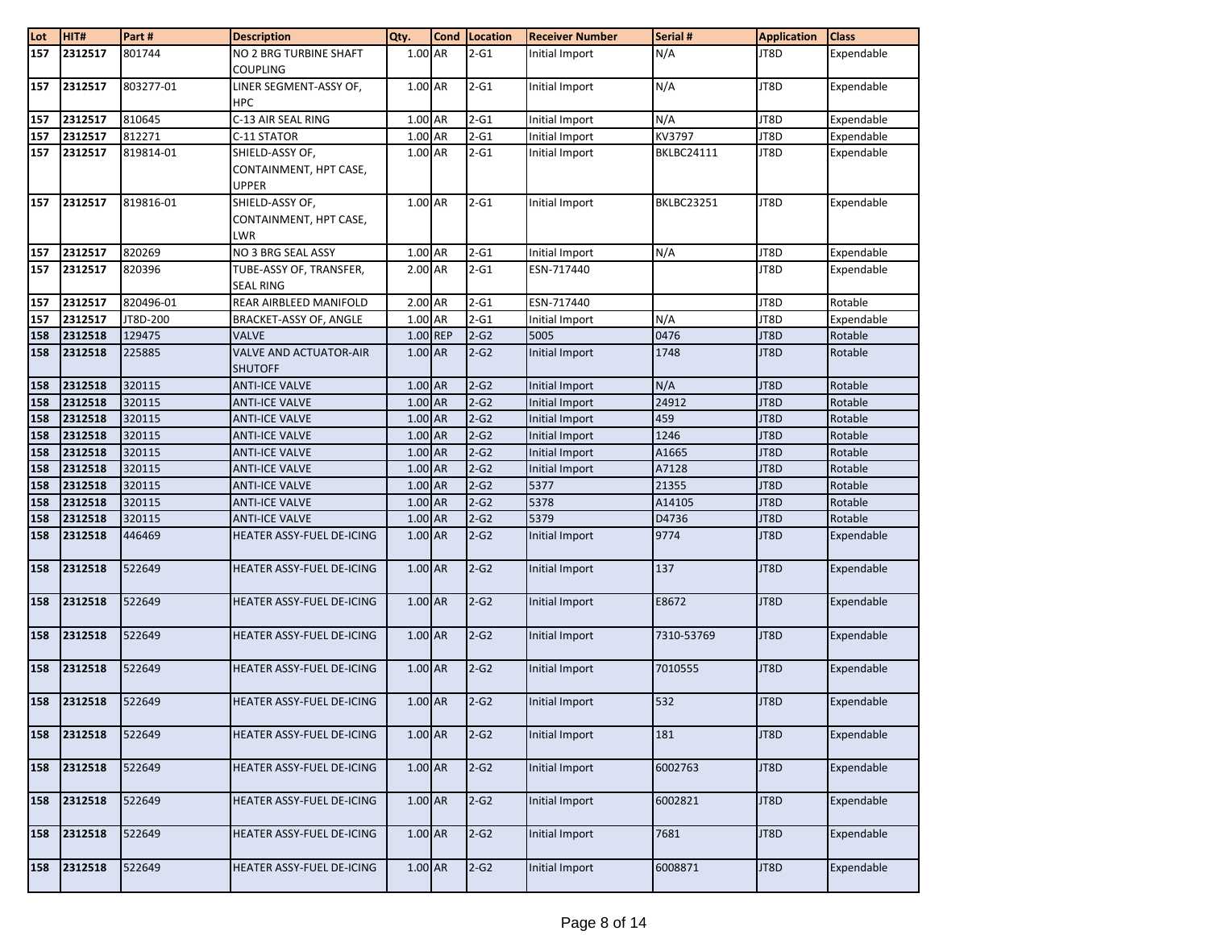| Lot | HIT#    | Part#     | <b>Description</b>            | Qty.      | <b>Cond</b> | <b>Location</b>    | <b>Receiver Number</b> | Serial #          | <b>Application</b> | <b>Class</b> |
|-----|---------|-----------|-------------------------------|-----------|-------------|--------------------|------------------------|-------------------|--------------------|--------------|
| 157 | 2312517 | 801744    | NO 2 BRG TURBINE SHAFT        | 1.00 AR   |             | $2 - G1$           | Initial Import         | N/A               | JT8D               | Expendable   |
|     |         |           | <b>COUPLING</b>               |           |             |                    |                        |                   |                    |              |
| 157 | 2312517 | 803277-01 | LINER SEGMENT-ASSY OF,        | 1.00 AR   |             | $2-G1$             | Initial Import         | N/A               | JT8D               | Expendable   |
|     |         |           | <b>HPC</b>                    |           |             |                    |                        |                   |                    |              |
| 157 | 2312517 | 810645    | C-13 AIR SEAL RING            | 1.00 AR   |             | $2 - G1$           | Initial Import         | N/A               | JT8D               | Expendable   |
| 157 | 2312517 | 812271    | C-11 STATOR                   | 1.00 AR   |             | $2-G1$             | Initial Import         | KV3797            | JT8D               | Expendable   |
| 157 | 2312517 | 819814-01 | SHIELD-ASSY OF,               | 1.00 AR   |             | $2-G1$             | Initial Import         | <b>BKLBC24111</b> | JT8D               | Expendable   |
|     |         |           | CONTAINMENT, HPT CASE,        |           |             |                    |                        |                   |                    |              |
|     |         |           | <b>UPPER</b>                  |           |             |                    |                        |                   |                    |              |
| 157 | 2312517 | 819816-01 | SHIELD-ASSY OF,               | 1.00 AR   |             | $2-G1$             | Initial Import         | <b>BKLBC23251</b> | JT8D               | Expendable   |
|     |         |           | CONTAINMENT, HPT CASE,        |           |             |                    |                        |                   |                    |              |
|     |         |           | LWR                           |           |             |                    |                        |                   |                    |              |
| 157 | 2312517 | 820269    | NO 3 BRG SEAL ASSY            | 1.00 AR   |             | $2-G1$             | Initial Import         | N/A               | JT8D               | Expendable   |
| 157 | 2312517 | 820396    | TUBE-ASSY OF, TRANSFER,       | 2.00 AR   |             | $2 - G1$           | ESN-717440             |                   | JT8D               | Expendable   |
|     |         |           | <b>SEAL RING</b>              |           |             |                    |                        |                   |                    |              |
| 157 | 2312517 | 820496-01 | REAR AIRBLEED MANIFOLD        | 2.00 AR   |             | $\overline{2}$ -G1 | ESN-717440             |                   | JT8D               | Rotable      |
| 157 | 2312517 | JT8D-200  | BRACKET-ASSY OF, ANGLE        | 1.00 AR   |             | $2 - G1$           | Initial Import         | N/A               | JT8D               | Expendable   |
| 158 | 2312518 | 129475    | <b>VALVE</b>                  | 1.00 REP  |             | $2-G2$             | 5005                   | 0476              | JT8D               | Rotable      |
| 158 | 2312518 | 225885    | <b>VALVE AND ACTUATOR-AIR</b> | 1.00 AR   |             | $2-G2$             | Initial Import         | 1748              | JT8D               | Rotable      |
|     |         |           | <b>SHUTOFF</b>                |           |             |                    |                        |                   |                    |              |
| 158 | 2312518 | 320115    | <b>ANTI-ICE VALVE</b>         | 1.00 AR   |             | $2-G2$             | Initial Import         | N/A               | JT8D               | Rotable      |
| 158 | 2312518 | 320115    | <b>ANTI-ICE VALVE</b>         | $1.00$ AR |             | $2-G2$             | Initial Import         | 24912             | JT8D               | Rotable      |
| 158 | 2312518 | 320115    | <b>ANTI-ICE VALVE</b>         | 1.00 AR   |             | $2-G2$             | Initial Import         | 459               | JT8D               | Rotable      |
| 158 | 2312518 | 320115    | <b>ANTI-ICE VALVE</b>         | 1.00 AR   |             | $2-G2$             | Initial Import         | 1246              | JT8D               | Rotable      |
| 158 | 2312518 | 320115    | <b>ANTI-ICE VALVE</b>         | 1.00 AR   |             | $2-G2$             | Initial Import         | A1665             | JT8D               | Rotable      |
| 158 | 2312518 | 320115    | ANTI-ICE VALVE                | 1.00 AR   |             | $2-G2$             | Initial Import         | A7128             | JT8D               | Rotable      |
| 158 | 2312518 | 320115    | <b>ANTI-ICE VALVE</b>         | 1.00 AR   |             | $2-G2$             | 5377                   | 21355             | JT8D               | Rotable      |
| 158 | 2312518 | 320115    | <b>ANTI-ICE VALVE</b>         | 1.00 AR   |             | $2-G2$             | 5378                   | A14105            | JT8D               | Rotable      |
| 158 | 2312518 | 320115    | <b>ANTI-ICE VALVE</b>         | 1.00 AR   |             | $2-G2$             | 5379                   | D4736             | JT8D               | Rotable      |
| 158 | 2312518 | 446469    | HEATER ASSY-FUEL DE-ICING     | $1.00$ AR |             | $2-G2$             | Initial Import         | 9774              | JT8D               | Expendable   |
|     |         |           |                               |           |             |                    |                        |                   |                    |              |
| 158 | 2312518 | 522649    | HEATER ASSY-FUEL DE-ICING     | 1.00 AR   |             | $2-G2$             | Initial Import         | 137               | JT8D               | Expendable   |
|     |         |           |                               |           |             |                    |                        |                   |                    |              |
| 158 | 2312518 | 522649    | HEATER ASSY-FUEL DE-ICING     | 1.00 AR   |             | $2-G2$             | Initial Import         | E8672             | JT8D               | Expendable   |
|     |         |           |                               |           |             |                    |                        |                   |                    |              |
| 158 | 2312518 | 522649    | HEATER ASSY-FUEL DE-ICING     | 1.00 AR   |             | $2-G2$             | Initial Import         | 7310-53769        | JT8D               | Expendable   |
| 158 | 2312518 | 522649    | HEATER ASSY-FUEL DE-ICING     | 1.00 AR   |             | $2-G2$             | Initial Import         | 7010555           | JT8D               | Expendable   |
|     |         |           |                               |           |             |                    |                        |                   |                    |              |
| 158 | 2312518 | 522649    | HEATER ASSY-FUEL DE-ICING     | 1.00 AR   |             | $2-G2$             | Initial Import         | 532               | JT8D               | Expendable   |
|     |         |           |                               |           |             |                    |                        |                   |                    |              |
| 158 | 2312518 | 522649    | HEATER ASSY-FUEL DE-ICING     | $1.00$ AR |             | $2-G2$             | Initial Import         | 181               | JT8D               | Expendable   |
|     |         |           |                               |           |             |                    |                        |                   |                    |              |
| 158 | 2312518 | 522649    | HEATER ASSY-FUEL DE-ICING     | 1.00 AR   |             | $2-G2$             | Initial Import         | 6002763           | JT8D               | Expendable   |
|     |         |           |                               |           |             |                    |                        |                   |                    |              |
| 158 | 2312518 | 522649    | HEATER ASSY-FUEL DE-ICING     | 1.00 AR   |             | $2-G2$             | Initial Import         | 6002821           | JT8D               | Expendable   |
|     |         |           |                               |           |             |                    |                        |                   |                    |              |
| 158 | 2312518 | 522649    | HEATER ASSY-FUEL DE-ICING     | 1.00 AR   |             | $2-G2$             | Initial Import         | 7681              | JT8D               | Expendable   |
|     |         |           |                               |           |             |                    |                        |                   |                    |              |
| 158 | 2312518 | 522649    | HEATER ASSY-FUEL DE-ICING     | $1.00$ AR |             | $2-G2$             | Initial Import         | 6008871           | JT8D               | Expendable   |
|     |         |           |                               |           |             |                    |                        |                   |                    |              |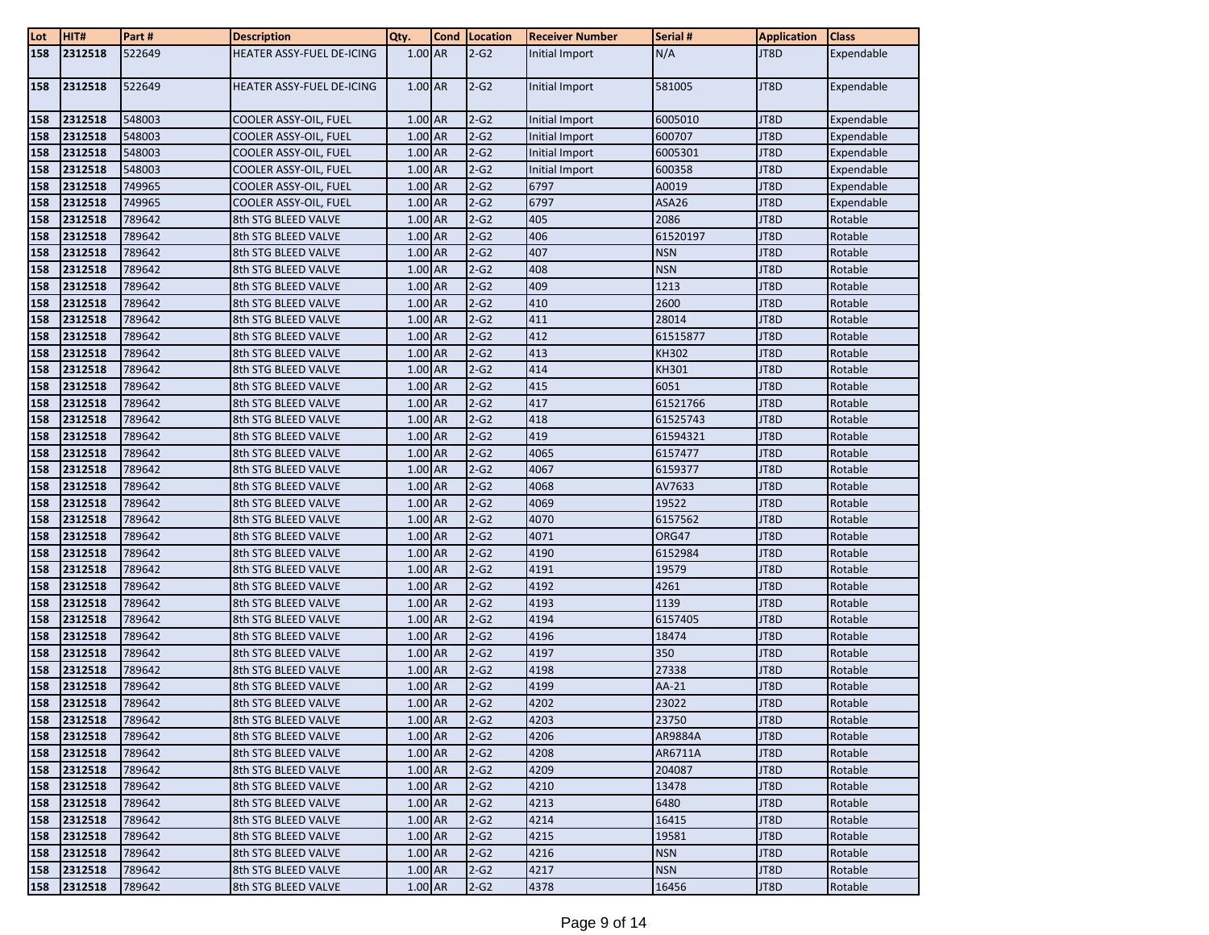| Lot        | HIT#               | Part#            | <b>Description</b>                         | Qty.               | <b>Cond</b> | Location         | <b>Receiver Number</b> | Serial #         | <b>Application</b> | <b>Class</b>       |
|------------|--------------------|------------------|--------------------------------------------|--------------------|-------------|------------------|------------------------|------------------|--------------------|--------------------|
| 158        | 2312518            | 522649           | HEATER ASSY-FUEL DE-ICING                  | $1.00$ AR          |             | $2-G2$           | Initial Import         | N/A              | JT8D               | Expendable         |
|            |                    |                  |                                            |                    |             |                  |                        |                  |                    |                    |
| 158        | 2312518            | 522649           | HEATER ASSY-FUEL DE-ICING                  | $1.00$ AR          |             | $2-G2$           | Initial Import         | 581005           | JT8D               | Expendable         |
| 158        | 2312518            | 548003           | COOLER ASSY-OIL, FUEL                      | 1.00 AR            |             | $2-G2$           | Initial Import         | 6005010          | JT8D               | Expendable         |
| 158        | 2312518            | 548003           | COOLER ASSY-OIL, FUEL                      | 1.00 AR            |             | $2-G2$           | Initial Import         | 600707           | JT8D               | Expendable         |
| 158        | 2312518            | 548003           | COOLER ASSY-OIL, FUEL                      | 1.00 AR            |             | $2-G2$           | Initial Import         | 6005301          | JT8D               | Expendable         |
| 158        | 2312518            | 548003           | COOLER ASSY-OIL, FUEL                      | 1.00 AR            |             | $2-G2$           | Initial Import         | 600358           | JT8D               | Expendable         |
| 158        | 2312518            | 749965           | COOLER ASSY-OIL, FUEL                      | 1.00 AR            |             | $2-G2$           | 6797                   | A0019            | JT8D               | Expendable         |
| 158        | 2312518            | 749965           | COOLER ASSY-OIL, FUEL                      | 1.00 AR            |             | $2-G2$           | 6797                   | ASA26            | JT8D               | Expendable         |
| 158        | 2312518            | 789642           | 8th STG BLEED VALVE                        | 1.00 AR            |             | $2-G2$           | 405                    | 2086             | JT8D               | Rotable            |
| 158        | 2312518            | 789642           | 8th STG BLEED VALVE                        | 1.00 AR            |             | $2-G2$           | 406                    | 61520197         | JT8D               | Rotable            |
| 158        | 2312518            | 789642           | 8th STG BLEED VALVE                        | 1.00 AR            |             | $2-G2$           | 407                    | <b>NSN</b>       | JT8D               | Rotable            |
| 158        | 2312518            | 789642           | 8th STG BLEED VALVE                        | 1.00 AR            |             | $2-G2$           | 408                    | <b>NSN</b>       | JT8D               | Rotable            |
| 158        | 2312518            | 789642           | 8th STG BLEED VALVE                        | 1.00 AR            |             | $2-G2$           | 409                    | 1213             | JT8D               | Rotable            |
| 158        | 2312518            | 789642           | 8th STG BLEED VALVE                        | 1.00 AR            |             | $2-G2$           | 410                    | 2600             | JT8D               | Rotable            |
| 158        | 2312518            | 789642           | 8th STG BLEED VALVE                        | 1.00 AR            |             | $2-G2$           | 411                    | 28014            | JT8D               | Rotable            |
| 158        | 2312518            | 789642           | 8th STG BLEED VALVE                        | 1.00 AR            |             | $2-G2$           | 412                    | 61515877         | JT8D               | Rotable            |
| 158        | 2312518            | 789642           | 8th STG BLEED VALVE                        | 1.00 AR            |             | $2-G2$           | 413                    | <b>KH302</b>     | JT8D               | Rotable            |
| 158        | 2312518            | 789642           | 8th STG BLEED VALVE                        | 1.00 AR            |             | $2-G2$           | 414                    | KH301            | JT8D               | Rotable            |
| 158        | 2312518            | 789642           | 8th STG BLEED VALVE                        | 1.00 AR            |             | $2-G2$           | 415                    | 6051             | JT8D               | Rotable            |
| 158        | 2312518            | 789642           | 8th STG BLEED VALVE                        | 1.00 AR            |             | $2-G2$           | 417                    | 61521766         | JT8D               | Rotable            |
| 158        | 2312518            | 789642           | 8th STG BLEED VALVE                        | 1.00 AR            |             | $2-G2$           | 418                    | 61525743         | JT8D               | Rotable            |
| 158        | 2312518            | 789642           | 8th STG BLEED VALVE                        | 1.00 AR            |             | $2-G2$           | 419                    | 61594321         | JT8D               | Rotable            |
| 158        | 2312518            | 789642           | 8th STG BLEED VALVE                        | 1.00 AR            |             | $2-G2$           | 4065                   | 6157477          | JT8D               | Rotable            |
| 158        | 2312518            | 789642           | 8th STG BLEED VALVE                        | 1.00 AR            |             | $2-G2$           | 4067                   | 6159377          | JT8D               | Rotable            |
| 158        | 2312518            | 789642           | 8th STG BLEED VALVE                        | 1.00 AR            |             | $2-G2$           | 4068                   | AV7633           | JT8D               | Rotable            |
| 158        | 2312518            | 789642           | 8th STG BLEED VALVE                        | 1.00 AR            |             | $2-G2$           | 4069                   | 19522            | JT8D               | Rotable            |
| 158        | 2312518            | 789642           | 8th STG BLEED VALVE                        | 1.00 AR            |             | $2-G2$           | 4070                   | 6157562          | JT8D               | Rotable            |
| 158        | 2312518            | 789642           | 8th STG BLEED VALVE                        | 1.00 AR            |             | $2-G2$           | 4071                   | ORG47            | JT8D               | Rotable            |
| 158        | 2312518            | 789642           | 8th STG BLEED VALVE                        | 1.00 AR            |             | $2-G2$           | 4190                   | 6152984          | JT8D               | Rotable            |
| 158        | 2312518            | 789642           | 8th STG BLEED VALVE                        | 1.00 AR            |             | $2-G2$           | 4191                   | 19579            | JT8D               | Rotable            |
| 158        | 2312518            | 789642           | 8th STG BLEED VALVE                        | 1.00 AR            |             | $2-G2$           | 4192                   | 4261             | JT8D               | Rotable            |
| 158        | 2312518            | 789642           | 8th STG BLEED VALVE                        | 1.00 AR            |             | $2-G2$           | 4193                   | 1139             | JT8D               | Rotable            |
| 158        | 2312518            | 789642<br>789642 | 8th STG BLEED VALVE                        | 1.00 AR            |             | $2-G2$<br>$2-G2$ | 4194                   | 6157405<br>18474 | JT8D               | Rotable            |
| 158<br>158 | 2312518<br>2312518 | 789642           | 8th STG BLEED VALVE<br>8th STG BLEED VALVE | 1.00 AR<br>1.00 AR |             | $2-G2$           | 4196<br>4197           | 350              | JT8D<br>JT8D       | Rotable<br>Rotable |
| 158        | 2312518            | 789642           | 8th STG BLEED VALVE                        | 1.00 AR            |             | $2-G2$           | 4198                   | 27338            | JT8D               | Rotable            |
| 158        | 2312518            | 789642           | 8th STG BLEED VALVE                        | 1.00 AR            |             | $2-G2$           | 4199                   | AA-21            | JT8D               | Rotable            |
| 158        | 2312518            | 789642           | 8th STG BLEED VALVE                        | 1.00 AR            |             | $2-G2$           | 4202                   | 23022            | JT8D               | Rotable            |
| 158        | 2312518            | 789642           | 8th STG BLEED VALVE                        | 1.00 AR            |             | $2-G2$           | 4203                   | 23750            | JT8D               | Rotable            |
| 158        | 2312518            | 789642           | 8th STG BLEED VALVE                        | 1.00 AR            |             | $2-G2$           | 4206                   | AR9884A          | JT8D               | Rotable            |
| 158        | 2312518            | 789642           | 8th STG BLEED VALVE                        | 1.00 AR            |             | $2-G2$           | 4208                   | AR6711A          | JT8D               | Rotable            |
| 158        | 2312518            | 789642           | 8th STG BLEED VALVE                        | 1.00 AR            |             | $2-G2$           | 4209                   | 204087           | JT8D               | Rotable            |
| 158        | 2312518            | 789642           | 8th STG BLEED VALVE                        | 1.00 AR            |             | $2-G2$           | 4210                   | 13478            | JT8D               | Rotable            |
| 158        | 2312518            | 789642           | 8th STG BLEED VALVE                        | 1.00 AR            |             | $2-G2$           | 4213                   | 6480             | JT8D               | Rotable            |
| 158        | 2312518            | 789642           | 8th STG BLEED VALVE                        | 1.00 AR            |             | $2-G2$           | 4214                   | 16415            | JT8D               | Rotable            |
| 158        | 2312518            | 789642           | 8th STG BLEED VALVE                        | 1.00 AR            |             | $2-G2$           | 4215                   | 19581            | JT8D               | Rotable            |
| 158        | 2312518            | 789642           | 8th STG BLEED VALVE                        | 1.00 AR            |             | $2-G2$           | 4216                   | <b>NSN</b>       | JT8D               | Rotable            |
| 158        | 2312518            | 789642           | 8th STG BLEED VALVE                        | 1.00 AR            |             | $2-G2$           | 4217                   | <b>NSN</b>       | JT8D               | Rotable            |
| 158        | 2312518            | 789642           | 8th STG BLEED VALVE                        | 1.00 AR            |             | $2-G2$           | 4378                   | 16456            | JT8D               | Rotable            |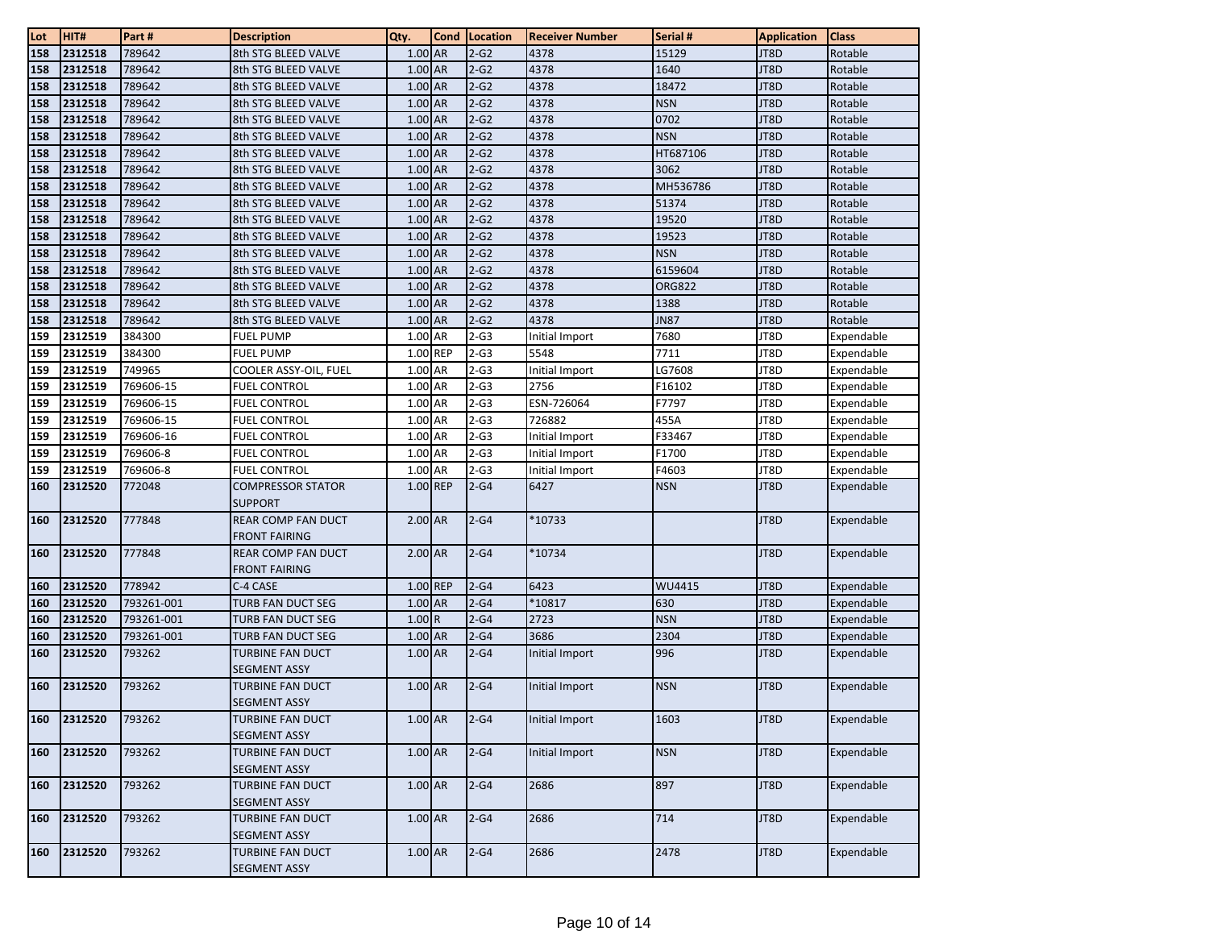| Lot | HIT#    | Part #     | <b>Description</b>                      | Qty.      | Cond | Location | <b>Receiver Number</b> | Serial #      | <b>Application</b> | <b>Class</b> |
|-----|---------|------------|-----------------------------------------|-----------|------|----------|------------------------|---------------|--------------------|--------------|
| 158 | 2312518 | 789642     | 8th STG BLEED VALVE                     | 1.00 AR   |      | $2-G2$   | 4378                   | 15129         | JT8D               | Rotable      |
| 158 | 2312518 | 789642     | 8th STG BLEED VALVE                     | 1.00 AR   |      | $2-G2$   | 4378                   | 1640          | JT8D               | Rotable      |
| 158 | 2312518 | 789642     | 8th STG BLEED VALVE                     | 1.00 AR   |      | $2-G2$   | 4378                   | 18472         | JT8D               | Rotable      |
| 158 | 2312518 | 789642     | 8th STG BLEED VALVE                     | 1.00 AR   |      | $2-G2$   | 4378                   | <b>NSN</b>    | JT8D               | Rotable      |
| 158 | 2312518 | 789642     | 8th STG BLEED VALVE                     | 1.00 AR   |      | $2-G2$   | 4378                   | 0702          | JT8D               | Rotable      |
| 158 | 2312518 | 789642     | 8th STG BLEED VALVE                     | 1.00 AR   |      | $2-G2$   | 4378                   | <b>NSN</b>    | JT8D               | Rotable      |
| 158 | 2312518 | 789642     | 8th STG BLEED VALVE                     | 1.00 AR   |      | $2-G2$   | 4378                   | HT687106      | JT8D               | Rotable      |
| 158 | 2312518 | 789642     | 8th STG BLEED VALVE                     | 1.00 AR   |      | $2-G2$   | 4378                   | 3062          | JT8D               | Rotable      |
| 158 | 2312518 | 789642     | 8th STG BLEED VALVE                     | $1.00$ AR |      | $2-G2$   | 4378                   | MH536786      | JT8D               | Rotable      |
| 158 | 2312518 | 789642     | 8th STG BLEED VALVE                     | 1.00 AR   |      | $2-G2$   | 4378                   | 51374         | JT8D               | Rotable      |
| 158 | 2312518 | 789642     | 8th STG BLEED VALVE                     | 1.00 AR   |      | $2-G2$   | 4378                   | 19520         | JT8D               | Rotable      |
| 158 | 2312518 | 789642     | 8th STG BLEED VALVE                     | 1.00 AR   |      | $2-G2$   | 4378                   | 19523         | JT8D               | Rotable      |
| 158 | 2312518 | 789642     | 8th STG BLEED VALVE                     | 1.00 AR   |      | $2-G2$   | 4378                   | <b>NSN</b>    | JT8D               | Rotable      |
| 158 | 2312518 | 789642     | 8th STG BLEED VALVE                     | 1.00 AR   |      | $2-G2$   | 4378                   | 6159604       | JT8D               | Rotable      |
| 158 | 2312518 | 789642     | 8th STG BLEED VALVE                     | 1.00 AR   |      | $2-G2$   | 4378                   | <b>ORG822</b> | JT8D               | Rotable      |
| 158 | 2312518 | 789642     | 8th STG BLEED VALVE                     | 1.00 AR   |      | $2-G2$   | 4378                   | 1388          | JT8D               | Rotable      |
| 158 | 2312518 | 789642     | 8th STG BLEED VALVE                     | 1.00 AR   |      | $2-G2$   | 4378                   | <b>JN87</b>   | JT8D               | Rotable      |
| 159 | 2312519 | 384300     | <b>FUEL PUMP</b>                        | 1.00 AR   |      | $2-G3$   | Initial Import         | 7680          | JT8D               | Expendable   |
| 159 | 2312519 | 384300     | <b>FUEL PUMP</b>                        | 1.00 REP  |      | $2-G3$   | 5548                   | 7711          | JT8D               | Expendable   |
| 159 | 2312519 | 749965     | COOLER ASSY-OIL, FUEL                   | 1.00 AR   |      | $2 - G3$ | Initial Import         | LG7608        | JT8D               | Expendable   |
| 159 | 2312519 | 769606-15  | <b>FUEL CONTROL</b>                     | 1.00 AR   |      | $2-G3$   | 2756                   | F16102        | JT8D               | Expendable   |
| 159 | 2312519 | 769606-15  | <b>FUEL CONTROL</b>                     | 1.00 AR   |      | $2-G3$   | ESN-726064             | F7797         | JT8D               | Expendable   |
| 159 | 2312519 | 769606-15  | <b>FUEL CONTROL</b>                     | 1.00 AR   |      | $2-63$   | 726882                 | 455A          | JT8D               | Expendable   |
| 159 | 2312519 | 769606-16  | <b>FUEL CONTROL</b>                     | 1.00 AR   |      | $2-G3$   | Initial Import         | F33467        | JT8D               | Expendable   |
| 159 | 2312519 | 769606-8   | <b>FUEL CONTROL</b>                     | 1.00 AR   |      | $2-G3$   | Initial Import         | F1700         | JT8D               | Expendable   |
| 159 | 2312519 | 769606-8   | <b>FUEL CONTROL</b>                     | 1.00 AR   |      | $2-G3$   | Initial Import         | F4603         | JT8D               | Expendable   |
| 160 | 2312520 | 772048     | <b>COMPRESSOR STATOR</b>                | 1.00 REP  |      | $2-G4$   | 6427                   | <b>NSN</b>    | JT8D               | Expendable   |
|     |         |            | <b>SUPPORT</b>                          |           |      |          |                        |               |                    |              |
| 160 | 2312520 | 777848     | <b>REAR COMP FAN DUCT</b>               | 2.00 AR   |      | $2-64$   | *10733                 |               | JT8D               | Expendable   |
|     |         |            | <b>FRONT FAIRING</b>                    |           |      |          |                        |               |                    |              |
| 160 | 2312520 | 777848     | <b>REAR COMP FAN DUCT</b>               | 2.00 AR   |      | $2-G4$   | *10734                 |               | JT8D               | Expendable   |
|     |         |            | <b>FRONT FAIRING</b>                    |           |      |          |                        |               |                    |              |
| 160 | 2312520 | 778942     | C-4 CASE                                | 1.00 REP  |      | $2-G4$   | 6423                   | WU4415        | JT8D               | Expendable   |
| 160 | 2312520 | 793261-001 | TURB FAN DUCT SEG                       | 1.00 AR   |      | $2-G4$   | $*10817$               | 630           | JT8D               | Expendable   |
| 160 | 2312520 | 793261-001 | <b>TURB FAN DUCT SEG</b>                | 1.00R     |      | $2-G4$   | 2723                   | <b>NSN</b>    | JT8D               | Expendable   |
| 160 | 2312520 | 793261-001 | <b>TURB FAN DUCT SEG</b>                | 1.00 AR   |      | $2-G4$   | 3686                   | 2304          | JT8D               | Expendable   |
| 160 | 2312520 | 793262     | TURBINE FAN DUCT                        | 1.00 AR   |      | $2-64$   | Initial Import         | 996           | JT8D               | Expendable   |
| 160 | 2312520 | 793262     | <b>SEGMENT ASSY</b>                     | 1.00 AR   |      | $2-G4$   |                        | NSN           | JT8D               | Expendable   |
|     |         |            | TURBINE FAN DUCT<br><b>SEGMENT ASSY</b> |           |      |          | Initial Import         |               |                    |              |
| 160 | 2312520 | 793262     | <b>TURBINE FAN DUCT</b>                 | 1.00 AR   |      | $2-G4$   | Initial Import         | 1603          | JT8D               | Expendable   |
|     |         |            | <b>SEGMENT ASSY</b>                     |           |      |          |                        |               |                    |              |
| 160 | 2312520 | 793262     | <b>TURBINE FAN DUCT</b>                 | 1.00 AR   |      | $2-G4$   | Initial Import         | <b>NSN</b>    | JT8D               | Expendable   |
|     |         |            | <b>SEGMENT ASSY</b>                     |           |      |          |                        |               |                    |              |
| 160 | 2312520 | 793262     | <b>TURBINE FAN DUCT</b>                 | $1.00$ AR |      | $2-64$   | 2686                   | 897           | JT8D               | Expendable   |
|     |         |            | <b>SEGMENT ASSY</b>                     |           |      |          |                        |               |                    |              |
| 160 | 2312520 | 793262     | TURBINE FAN DUCT                        | $1.00$ AR |      | $2-G4$   | 2686                   | 714           | JT8D               | Expendable   |
|     |         |            | <b>SEGMENT ASSY</b>                     |           |      |          |                        |               |                    |              |
| 160 | 2312520 | 793262     | <b>TURBINE FAN DUCT</b>                 | 1.00 AR   |      | $2-G4$   | 2686                   | 2478          | JT8D               | Expendable   |
|     |         |            | <b>SEGMENT ASSY</b>                     |           |      |          |                        |               |                    |              |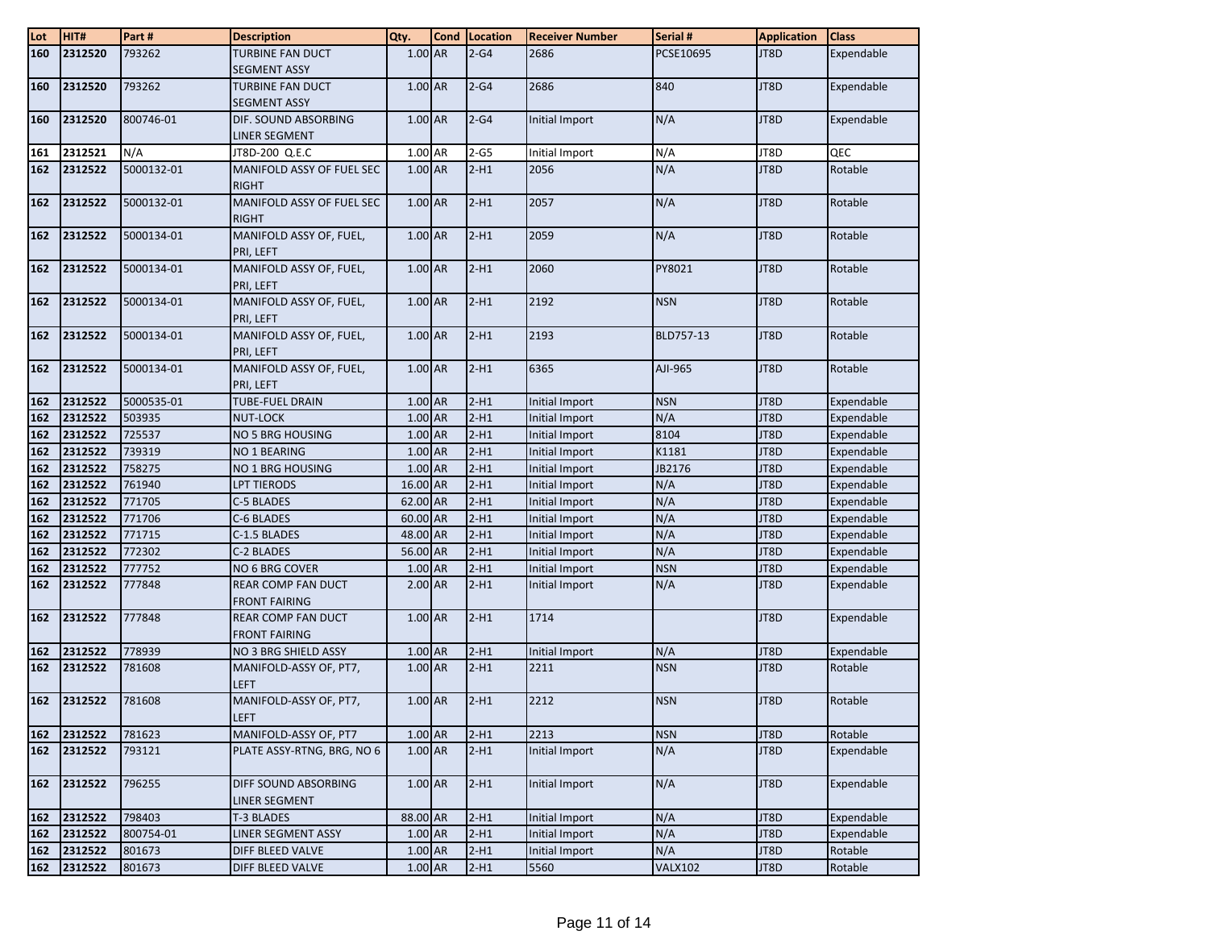| Lot        | HIT#               | Part#                | <b>Description</b>           | Qty.               | <b>Cond</b> | Location         | <b>Receiver Number</b>           | Serial #          | <b>Application</b> | <b>Class</b>             |
|------------|--------------------|----------------------|------------------------------|--------------------|-------------|------------------|----------------------------------|-------------------|--------------------|--------------------------|
| 160        | 2312520            | 793262               | <b>TURBINE FAN DUCT</b>      | 1.00 AR            |             | $2-G4$           | 2686                             | PCSE10695         | JT8D               | Expendable               |
|            |                    |                      | <b>SEGMENT ASSY</b>          |                    |             |                  |                                  |                   |                    |                          |
| 160        | 2312520            | 793262               | <b>TURBINE FAN DUCT</b>      | 1.00 AR            |             | $2-G4$           | 2686                             | 840               | JT8D               | Expendable               |
|            |                    |                      | <b>SEGMENT ASSY</b>          |                    |             |                  |                                  |                   |                    |                          |
| 160        | 2312520            | 800746-01            | DIF. SOUND ABSORBING         | 1.00 AR            |             | $2-G4$           | Initial Import                   | N/A               | JT8D               | Expendable               |
|            |                    |                      | LINER SEGMENT                |                    |             |                  |                                  |                   |                    |                          |
| 161        | 2312521            | N/A                  | JT8D-200 Q.E.C               | 1.00 AR            |             | $2-G5$           | Initial Import                   | N/A               | JT8D               | QEC                      |
| 162        | 2312522            | 5000132-01           | MANIFOLD ASSY OF FUEL SEC    | 1.00 AR            |             | $2-H1$           | 2056                             | N/A               | JT8D               | Rotable                  |
|            |                    |                      | <b>RIGHT</b>                 |                    |             |                  |                                  |                   |                    |                          |
| 162        | 2312522            | 5000132-01           | MANIFOLD ASSY OF FUEL SEC    | 1.00 AR            |             | $2-H1$           | 2057                             | N/A               | JT8D               | Rotable                  |
|            |                    |                      | <b>RIGHT</b>                 |                    |             |                  |                                  |                   |                    |                          |
| 162        | 2312522            | 5000134-01           | MANIFOLD ASSY OF, FUEL,      | 1.00 AR            |             | $2-H1$           | 2059                             | N/A               | JT8D               | Rotable                  |
|            |                    |                      | PRI, LEFT                    |                    |             |                  |                                  |                   |                    |                          |
| 162        | 2312522            | 5000134-01           | MANIFOLD ASSY OF, FUEL,      | 1.00 AR            |             | $2-H1$           | 2060                             | PY8021            | JT8D               | Rotable                  |
|            |                    |                      | PRI, LEFT                    |                    |             |                  |                                  |                   |                    |                          |
| 162        | 2312522            | 5000134-01           | MANIFOLD ASSY OF, FUEL,      | 1.00 AR            |             | $2-H1$           | 2192                             | <b>NSN</b>        | JT8D               | Rotable                  |
|            |                    |                      | PRI, LEFT                    |                    |             |                  |                                  |                   |                    |                          |
| 162        | 2312522            | 5000134-01           | MANIFOLD ASSY OF, FUEL,      | 1.00 AR            |             | $2-H1$           | 2193                             | BLD757-13         | JT8D               | Rotable                  |
|            |                    |                      | PRI, LEFT                    |                    |             |                  |                                  |                   |                    |                          |
| 162        | 2312522            | 5000134-01           | MANIFOLD ASSY OF, FUEL,      | 1.00 AR            |             | $2-H1$           | 6365                             | AJI-965           | JT8D               | Rotable                  |
|            |                    |                      | PRI, LEFT                    |                    |             |                  |                                  |                   |                    |                          |
| 162        | 2312522<br>2312522 | 5000535-01<br>503935 | <b>TUBE-FUEL DRAIN</b>       | 1.00 AR<br>1.00 AR |             | $2-H1$<br>$2-H1$ | Initial Import                   | <b>NSN</b><br>N/A | JT8D<br>JT8D       | Expendable               |
| 162<br>162 | 2312522            | 725537               | NUT-LOCK<br>NO 5 BRG HOUSING | 1.00 AR            |             | $2-H1$           | Initial Import<br>Initial Import | 8104              | JT8D               | Expendable<br>Expendable |
| 162        | 2312522            | 739319               | NO 1 BEARING                 | 1.00 AR            |             | $2-H1$           | Initial Import                   | K1181             | JT8D               | Expendable               |
| 162        | 2312522            | 758275               | NO 1 BRG HOUSING             | 1.00 AR            |             | $2-H1$           | Initial Import                   | JB2176            | JT8D               | Expendable               |
| 162        | 2312522            | 761940               | <b>LPT TIERODS</b>           | 16.00 AR           |             | $2-H1$           | <b>Initial Import</b>            | N/A               | JT8D               | Expendable               |
| 162        | 2312522            | 771705               | C-5 BLADES                   | 62.00 AR           |             | $2-H1$           | Initial Import                   | N/A               | JT8D               | Expendable               |
| 162        | 2312522            | 771706               | C-6 BLADES                   | 60.00 AR           |             | $2-H1$           | Initial Import                   | N/A               | JT8D               | Expendable               |
| 162        | 2312522            | 771715               | C-1.5 BLADES                 | 48.00 AR           |             | $2-H1$           | <b>Initial Import</b>            | N/A               | JT8D               | Expendable               |
| 162        | 2312522            | 772302               | C-2 BLADES                   | 56.00 AR           |             | $2-H1$           | Initial Import                   | N/A               | JT8D               | Expendable               |
| 162        | 2312522            | 777752               | NO 6 BRG COVER               | 1.00 AR            |             | $2-H1$           | <b>Initial Import</b>            | <b>NSN</b>        | JT8D               | Expendable               |
| 162        | 2312522            | 777848               | <b>REAR COMP FAN DUCT</b>    | $2.00$ AR          |             | $2-H1$           | Initial Import                   | N/A               | JT8D               | Expendable               |
|            |                    |                      | <b>FRONT FAIRING</b>         |                    |             |                  |                                  |                   |                    |                          |
| 162        | 2312522            | 777848               | <b>REAR COMP FAN DUCT</b>    | 1.00 AR            |             | $2-H1$           | 1714                             |                   | JT8D               | Expendable               |
|            |                    |                      | <b>FRONT FAIRING</b>         |                    |             |                  |                                  |                   |                    |                          |
| 162        | 2312522            | 778939               | NO 3 BRG SHIELD ASSY         | 1.00 AR            |             | $2-H1$           | Initial Import                   | N/A               | JT8D               | Expendable               |
| 162        | 2312522            | 781608               | MANIFOLD-ASSY OF, PT7,       | 1.00 AR            |             | $2-H1$           | 2211                             | <b>NSN</b>        | JT8D               | Rotable                  |
|            |                    |                      | <b>LEFT</b>                  |                    |             |                  |                                  |                   |                    |                          |
| 162        | 2312522            | 781608               | MANIFOLD-ASSY OF, PT7,       | $1.00$ AR          |             | $2-H1$           | 2212                             | <b>NSN</b>        | JT8D               | Rotable                  |
|            |                    |                      | <b>LEFT</b>                  |                    |             |                  |                                  |                   |                    |                          |
| 162        | 2312522            | 781623               | MANIFOLD-ASSY OF, PT7        | $1.00$ AR          |             | $2-H1$           | 2213                             | <b>NSN</b>        | JT8D               | Rotable                  |
| 162        | 2312522            | 793121               | PLATE ASSY-RTNG, BRG, NO 6   | 1.00 AR            |             | $2-H1$           | Initial Import                   | N/A               | JT8D               | Expendable               |
|            |                    |                      |                              |                    |             |                  |                                  |                   |                    |                          |
| 162        | 2312522            | 796255               | DIFF SOUND ABSORBING         | $1.00$ AR          |             | $2-H1$           | Initial Import                   | N/A               | JT8D               | Expendable               |
|            |                    |                      | LINER SEGMENT                |                    |             |                  |                                  |                   |                    |                          |
| 162        | 2312522            | 798403               | T-3 BLADES                   | 88.00 AR           |             | $2-H1$           | Initial Import                   | N/A               | JT8D               | Expendable               |
| 162        | 2312522            | 800754-01            | LINER SEGMENT ASSY           | $1.00$ AR          |             | $2-H1$           | Initial Import                   | N/A               | JT8D               | Expendable               |
| 162        | 2312522            | 801673               | DIFF BLEED VALVE             | $1.00$ AR          |             | $2-H1$           | Initial Import                   | N/A               | JT8D               | Rotable                  |
| 162        | 2312522            | 801673               | DIFF BLEED VALVE             | 1.00 AR            |             | $2-H1$           | 5560                             | <b>VALX102</b>    | JT8D               | Rotable                  |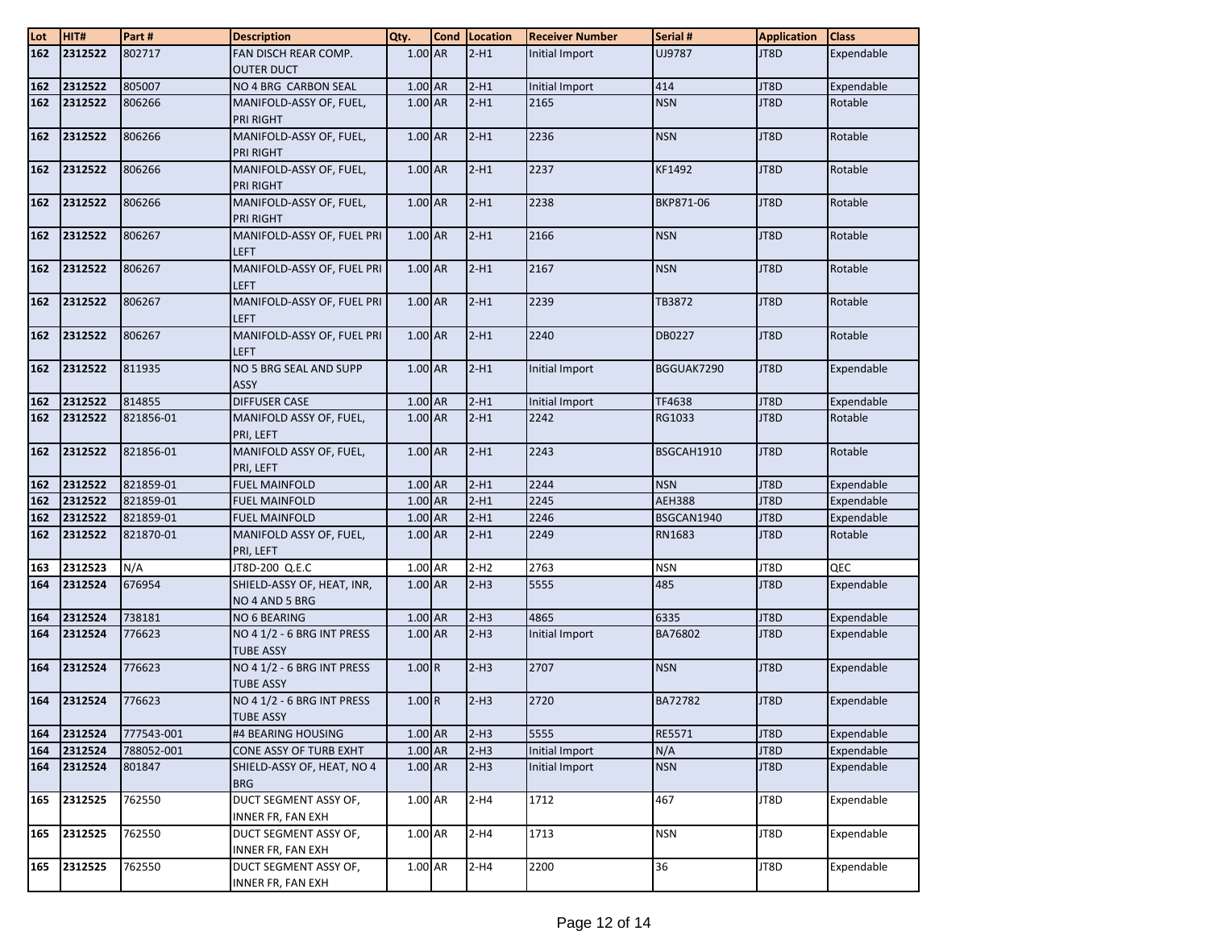| Lot        | HIT#    | Part#      | <b>Description</b>                         | Qty.      | <b>Cond</b> | Location | <b>Receiver Number</b> | Serial #      | <b>Application</b> | <b>Class</b> |
|------------|---------|------------|--------------------------------------------|-----------|-------------|----------|------------------------|---------------|--------------------|--------------|
| 162        | 2312522 | 802717     | FAN DISCH REAR COMP.                       | 1.00 AR   |             | $2-H1$   | Initial Import         | UJ9787        | JT8D               | Expendable   |
|            |         |            | <b>OUTER DUCT</b>                          |           |             |          |                        |               |                    |              |
| 162        | 2312522 | 805007     | NO 4 BRG CARBON SEAL                       | 1.00 AR   |             | $2-H1$   | Initial Import         | 414           | JT8D               | Expendable   |
| 162        | 2312522 | 806266     | MANIFOLD-ASSY OF, FUEL,                    | 1.00 AR   |             | $2-H1$   | 2165                   | <b>NSN</b>    | JT8D               | Rotable      |
|            |         |            | <b>PRI RIGHT</b>                           |           |             |          |                        |               |                    |              |
| 162        | 2312522 | 806266     | MANIFOLD-ASSY OF, FUEL,                    | 1.00 AR   |             | $2-H1$   | 2236                   | <b>NSN</b>    | JT8D               | Rotable      |
|            |         |            | <b>PRI RIGHT</b>                           |           |             |          |                        |               |                    |              |
| 162        | 2312522 | 806266     | MANIFOLD-ASSY OF, FUEL,                    | 1.00 AR   |             | $2-H1$   | 2237                   | KF1492        | JT8D               | Rotable      |
|            |         |            | PRI RIGHT                                  |           |             |          |                        |               |                    |              |
| 162        | 2312522 | 806266     | MANIFOLD-ASSY OF, FUEL,                    | 1.00 AR   |             | $2-H1$   | 2238                   | BKP871-06     | JT8D               | Rotable      |
|            |         |            | PRI RIGHT                                  |           |             |          |                        |               |                    |              |
| 162        | 2312522 | 806267     | MANIFOLD-ASSY OF, FUEL PRI                 | 1.00 AR   |             | $2-H1$   | 2166                   | <b>NSN</b>    | JT8D               | Rotable      |
| 162        | 2312522 | 806267     | <b>LEFT</b><br>MANIFOLD-ASSY OF, FUEL PRI  | 1.00 AR   |             | $2-H1$   | 2167                   | <b>NSN</b>    | JT8D               | Rotable      |
|            |         |            | <b>LEFT</b>                                |           |             |          |                        |               |                    |              |
| 162        | 2312522 | 806267     | MANIFOLD-ASSY OF, FUEL PRI                 | 1.00 AR   |             | $2-H1$   | 2239                   | TB3872        | JT8D               | Rotable      |
|            |         |            | <b>LEFT</b>                                |           |             |          |                        |               |                    |              |
| 162        | 2312522 | 806267     | MANIFOLD-ASSY OF, FUEL PRI                 | 1.00 AR   |             | $2-H1$   | 2240                   | DB0227        | JT8D               | Rotable      |
|            |         |            | <b>LEFT</b>                                |           |             |          |                        |               |                    |              |
| 162        | 2312522 | 811935     | NO 5 BRG SEAL AND SUPP                     | 1.00 AR   |             | $2-H1$   | Initial Import         | BGGUAK7290    | JT8D               | Expendable   |
|            |         |            | <b>ASSY</b>                                |           |             |          |                        |               |                    |              |
| 162        | 2312522 | 814855     | <b>DIFFUSER CASE</b>                       | 1.00 AR   |             | $2-H1$   | Initial Import         | TF4638        | JT8D               | Expendable   |
| 162        | 2312522 | 821856-01  | MANIFOLD ASSY OF, FUEL,                    | 1.00 AR   |             | $2-H1$   | 2242                   | RG1033        | JT8D               | Rotable      |
|            |         |            | PRI, LEFT                                  |           |             |          |                        |               |                    |              |
| 162        | 2312522 | 821856-01  | MANIFOLD ASSY OF, FUEL,                    | 1.00 AR   |             | $2-H1$   | 2243                   | BSGCAH1910    | JT8D               | Rotable      |
|            |         |            | PRI, LEFT                                  |           |             |          |                        |               |                    |              |
| 162        | 2312522 | 821859-01  | <b>FUEL MAINFOLD</b>                       | 1.00 AR   |             | $2-H1$   | 2244                   | <b>NSN</b>    | JT8D               | Expendable   |
| 162        | 2312522 | 821859-01  | <b>FUEL MAINFOLD</b>                       | 1.00 AR   |             | $2-H1$   | 2245                   | <b>AEH388</b> | JT8D               | Expendable   |
| 162        | 2312522 | 821859-01  | <b>FUEL MAINFOLD</b>                       | 1.00 AR   |             | $2-H1$   | 2246                   | BSGCAN1940    | JT8D               | Expendable   |
| 162        | 2312522 | 821870-01  | MANIFOLD ASSY OF, FUEL,                    | 1.00 AR   |             | $2-H1$   | 2249                   | RN1683        | JT8D               | Rotable      |
|            | 2312523 | N/A        | PRI, LEFT<br>JT8D-200 Q.E.C                | 1.00 AR   |             | $2-H2$   | 2763                   | <b>NSN</b>    | JT8D               | QEC          |
| 163<br>164 | 2312524 | 676954     | SHIELD-ASSY OF, HEAT, INR,                 | $1.00$ AR |             | $2-H3$   | 5555                   | 485           | JT8D               | Expendable   |
|            |         |            | NO 4 AND 5 BRG                             |           |             |          |                        |               |                    |              |
| 164        | 2312524 | 738181     | NO 6 BEARING                               | 1.00 AR   |             | $2-H3$   | 4865                   | 6335          | JT8D               | Expendable   |
| 164        | 2312524 | 776623     | NO 4 1/2 - 6 BRG INT PRESS                 | 1.00 AR   |             | $2-H3$   | Initial Import         | BA76802       | JT8D               | Expendable   |
|            |         |            | <b>TUBE ASSY</b>                           |           |             |          |                        |               |                    |              |
| 164        | 2312524 | 776623     | NO 4 1/2 - 6 BRG INT PRESS                 | 1.00R     |             | $2-H3$   | 2707                   | <b>NSN</b>    | JT8D               | Expendable   |
|            |         |            | <b>TUBE ASSY</b>                           |           |             |          |                        |               |                    |              |
| 164        | 2312524 | 776623     | NO 4 1/2 - 6 BRG INT PRESS                 | 1.00R     |             | $2-H3$   | 2720                   | BA72782       | JT8D               | Expendable   |
|            |         |            | <b>TUBE ASSY</b>                           |           |             |          |                        |               |                    |              |
| 164        | 2312524 | 777543-001 | #4 BEARING HOUSING                         | 1.00 AR   |             | $2-H3$   | 5555                   | RE5571        | JT8D               | Expendable   |
| 164        | 2312524 | 788052-001 | CONE ASSY OF TURB EXHT                     | 1.00 AR   |             | $2-H3$   | Initial Import         | N/A           | JT8D               | Expendable   |
| 164        | 2312524 | 801847     | SHIELD-ASSY OF, HEAT, NO 4                 | 1.00 AR   |             | $2-H3$   | Initial Import         | <b>NSN</b>    | JT8D               | Expendable   |
|            |         |            | <b>BRG</b>                                 |           |             |          |                        |               |                    |              |
| 165        | 2312525 | 762550     | DUCT SEGMENT ASSY OF,                      | 1.00 AR   |             | $2-H4$   | 1712                   | 467           | JT8D               | Expendable   |
| 165        | 2312525 | 762550     | INNER FR, FAN EXH<br>DUCT SEGMENT ASSY OF, | 1.00 AR   |             | $2-H4$   | 1713                   | <b>NSN</b>    | JT8D               | Expendable   |
|            |         |            | <b>INNER FR, FAN EXH</b>                   |           |             |          |                        |               |                    |              |
| 165        | 2312525 | 762550     | DUCT SEGMENT ASSY OF,                      | 1.00 AR   |             | $2-H4$   | 2200                   | 36            | JT8D               | Expendable   |
|            |         |            | INNER FR, FAN EXH                          |           |             |          |                        |               |                    |              |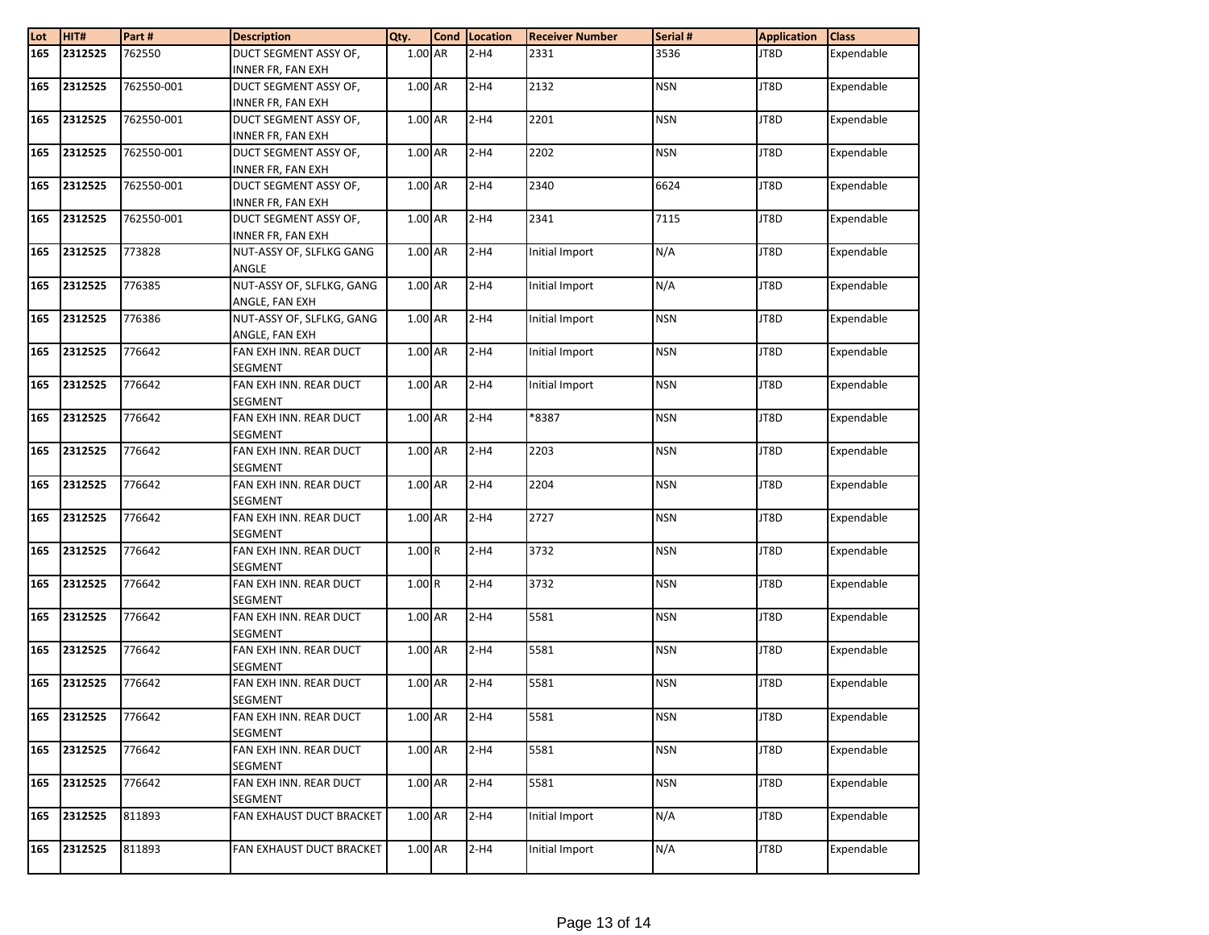| Lot | HIT#    | Part#      | <b>Description</b>        | Qty.      | <b>Cond</b> | Location | <b>Receiver Number</b> | Serial #   | <b>Application</b> | <b>Class</b> |
|-----|---------|------------|---------------------------|-----------|-------------|----------|------------------------|------------|--------------------|--------------|
| 165 | 2312525 | 762550     | DUCT SEGMENT ASSY OF,     | 1.00 AR   |             | $2-H4$   | 2331                   | 3536       | JT8D               | Expendable   |
|     |         |            | <b>INNER FR, FAN EXH</b>  |           |             |          |                        |            |                    |              |
| 165 | 2312525 | 762550-001 | DUCT SEGMENT ASSY OF,     | 1.00 AR   |             | $2-H4$   | 2132                   | <b>NSN</b> | JT8D               | Expendable   |
|     |         |            | INNER FR, FAN EXH         |           |             |          |                        |            |                    |              |
| 165 | 2312525 | 762550-001 | DUCT SEGMENT ASSY OF,     | 1.00 AR   |             | $2-H4$   | 2201                   | <b>NSN</b> | JT8D               | Expendable   |
|     |         |            | INNER FR, FAN EXH         |           |             |          |                        |            |                    |              |
| 165 | 2312525 | 762550-001 | DUCT SEGMENT ASSY OF,     | 1.00 AR   |             | $2-H4$   | 2202                   | <b>NSN</b> | JT8D               | Expendable   |
|     |         |            | INNER FR, FAN EXH         |           |             |          |                        |            |                    |              |
| 165 | 2312525 | 762550-001 | DUCT SEGMENT ASSY OF,     | 1.00 AR   |             | $2-H4$   | 2340                   | 6624       | JT8D               | Expendable   |
|     |         |            | <b>INNER FR, FAN EXH</b>  |           |             |          |                        |            |                    |              |
| 165 | 2312525 | 762550-001 | DUCT SEGMENT ASSY OF,     | 1.00 AR   |             | $2-H4$   | 2341                   | 7115       | JT8D               | Expendable   |
|     |         |            | <b>INNER FR, FAN EXH</b>  |           |             |          |                        |            |                    |              |
| 165 | 2312525 | 773828     | NUT-ASSY OF, SLFLKG GANG  | 1.00 AR   |             | $2-H4$   | Initial Import         | N/A        | JT8D               | Expendable   |
|     |         |            | ANGLE                     |           |             |          |                        |            |                    |              |
| 165 | 2312525 | 776385     | NUT-ASSY OF, SLFLKG, GANG | 1.00 AR   |             | $2-H4$   | Initial Import         | N/A        | JT8D               | Expendable   |
|     |         |            | ANGLE, FAN EXH            |           |             |          |                        |            |                    |              |
| 165 | 2312525 | 776386     | NUT-ASSY OF, SLFLKG, GANG | 1.00 AR   |             | $2-H4$   | Initial Import         | <b>NSN</b> | JT8D               | Expendable   |
|     |         |            | ANGLE, FAN EXH            |           |             |          |                        |            |                    |              |
| 165 | 2312525 | 776642     | FAN EXH INN. REAR DUCT    | 1.00 AR   |             | $2-H4$   | Initial Import         | <b>NSN</b> | JT8D               | Expendable   |
|     |         |            | <b>SEGMENT</b>            |           |             |          |                        |            |                    |              |
| 165 | 2312525 | 776642     | FAN EXH INN. REAR DUCT    | $1.00$ AR |             | $2-H4$   | Initial Import         | <b>NSN</b> | JT8D               | Expendable   |
|     |         |            | <b>SEGMENT</b>            |           |             |          |                        |            |                    |              |
| 165 | 2312525 | 776642     | FAN EXH INN. REAR DUCT    | $1.00$ AR |             | $2-H4$   | 8387                   | <b>NSN</b> | JT8D               | Expendable   |
|     |         |            | <b>SEGMENT</b>            |           |             |          |                        |            |                    |              |
| 165 | 2312525 | 776642     | FAN EXH INN. REAR DUCT    | 1.00 AR   |             | $2-H4$   | 2203                   | <b>NSN</b> | JT8D               | Expendable   |
|     |         |            | <b>SEGMENT</b>            |           |             |          |                        |            |                    |              |
| 165 | 2312525 | 776642     | FAN EXH INN. REAR DUCT    | 1.00 AR   |             | $2-H4$   | 2204                   | <b>NSN</b> | JT8D               | Expendable   |
|     |         |            | <b>SEGMENT</b>            |           |             |          |                        |            |                    |              |
| 165 | 2312525 | 776642     | FAN EXH INN. REAR DUCT    | 1.00 AR   |             | $2-H4$   | 2727                   | <b>NSN</b> | JT8D               | Expendable   |
|     |         |            | SEGMENT                   |           |             |          |                        |            |                    |              |
| 165 | 2312525 | 776642     | FAN EXH INN. REAR DUCT    | 1.00R     |             | $2-H4$   | 3732                   | <b>NSN</b> | JT8D               | Expendable   |
|     |         |            | <b>SEGMENT</b>            |           |             |          |                        |            |                    |              |
| 165 | 2312525 | 776642     | FAN EXH INN. REAR DUCT    | 1.00R     |             | $2-H4$   | 3732                   | <b>NSN</b> | JT8D               | Expendable   |
|     |         |            | <b>SEGMENT</b>            |           |             |          |                        |            |                    |              |
| 165 | 2312525 | 776642     | FAN EXH INN. REAR DUCT    | 1.00 AR   |             | $2-H4$   | 5581                   | <b>NSN</b> | JT8D               | Expendable   |
|     |         |            | <b>SEGMENT</b>            |           |             |          |                        |            |                    |              |
| 165 | 2312525 | 776642     | FAN EXH INN. REAR DUCT    | $1.00$ AR |             | $2-H4$   | 5581                   | <b>NSN</b> | JT8D               | Expendable   |
|     |         |            | <b>SEGMENT</b>            |           |             |          |                        |            |                    |              |
| 165 | 2312525 | 776642     | FAN EXH INN. REAR DUCT    | $1.00$ AR |             | $2-H4$   | 5581                   | <b>NSN</b> | JT8D               | Expendable   |
|     |         |            | SEGMENT                   |           |             |          |                        |            |                    |              |
| 165 | 2312525 | 776642     | FAN EXH INN. REAR DUCT    | 1.00 AR   |             | 2-H4     | 5581                   | NSN        | JT8D               | Expendable   |
|     |         |            | SEGMENT                   |           |             |          |                        |            |                    |              |
| 165 | 2312525 | 776642     | FAN EXH INN. REAR DUCT    | 1.00 AR   |             | $2-H4$   | 5581                   | <b>NSN</b> | JT8D               | Expendable   |
|     |         |            | <b>SEGMENT</b>            |           |             |          |                        |            |                    |              |
| 165 | 2312525 | 776642     | FAN EXH INN. REAR DUCT    | 1.00 AR   |             | $2-H4$   | 5581                   | <b>NSN</b> | JT8D               | Expendable   |
|     |         |            | SEGMENT                   |           |             |          |                        |            |                    |              |
| 165 | 2312525 | 811893     | FAN EXHAUST DUCT BRACKET  | 1.00 AR   |             | $2-H4$   | Initial Import         | N/A        | JT8D               | Expendable   |
| 165 | 2312525 | 811893     | FAN EXHAUST DUCT BRACKET  | 1.00 AR   |             | $2-H4$   | Initial Import         | N/A        | JT8D               | Expendable   |
|     |         |            |                           |           |             |          |                        |            |                    |              |
|     |         |            |                           |           |             |          |                        |            |                    |              |